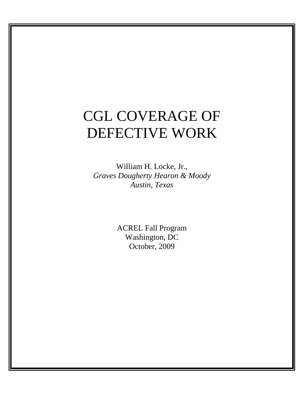# CGL COVERAGE OF DEFECTIVE WORK

William H. Locke, Jr., *Graves Dougherty Hearon & Moody Austin, Texas* 

> ACREL Fall Program Washington, DC October, 2009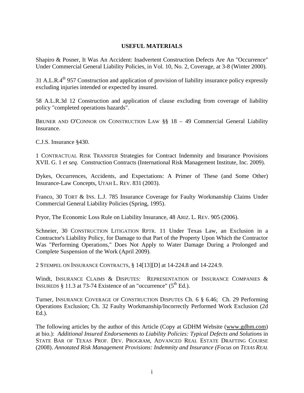#### **USEFUL MATERIALS**

Shapiro & Posner, It Was An Accident: Inadvertent Construction Defects Are An "Occurrence" Under Commercial General Liability Policies, in Vol. 10, No. 2, Coverage, at 3-8 (Winter 2000).

31 A.L.R. $4<sup>th</sup>$  957 Construction and application of provision of liability insurance policy expressly excluding injuries intended or expected by insured.

58 A.L.R.3d 12 Construction and application of clause excluding from coverage of liability policy "completed operations hazards".

BRUNER AND O'CONNOR ON CONSTRUCTION LAW §§ 18 – 49 Commercial General Liability Insurance.

C.J.S. Insurance §430.

1 CONTRACTUAL RISK TRANSFER Strategies for Contract Indemnity and Insurance Provisions XVII. G. 1 *et seq*. Construction Contracts (International Risk Management Institute, Inc. 2009).

Dykes, Occurrences, Accidents, and Expectations: A Primer of These (and Some Other) Insurance-Law Concepts, UTAH L. REV. 831 (2003).

Franco, 30 TORT & INS. L.J. 785 Insurance Coverage for Faulty Workmanship Claims Under Commercial General Liability Policies (Spring, 1995).

Pryor, The Economic Loss Rule on Liability Insurance, 48 ARIZ. L. REV. 905 (2006).

Schneier, 30 CONSTRUCTION LITIGATION RPTR. 11 Under Texas Law, an Exclusion in a Contractor's Liability Policy, for Damage to that Part of the Property Upon Which the Contractor Was "Performing Operations," Does Not Apply to Water Damage During a Prolonged and Complete Suspension of the Work (April 2009).

2 STEMPEL ON INSURANCE CONTRACTS, § 14[13][D] at 14-224.8 and 14-224.9.

Windt, INSURANCE CLAIMS & DISPUTES: REPRESENTATION OF INSURANCE COMPANIES & INSUREDS  $§$  11.3 at 73-74 Existence of an "occurrence" ( $5<sup>th</sup>$  Ed.).

Turner, INSURANCE COVERAGE OF CONSTRUCTION DISPUTES Ch. 6 § 6.46; Ch. 29 Performing Operations Exclusion; Ch. 32 Faulty Workmanship/Incorrectly Performed Work Exclusion (2d Ed.).

The following articles by the author of this Article (Copy at GDHM Website (www.gdhm.com) at bio.): *Additional Insured Endorsements to Liability Policies: Typical Defects and Solutions* in STATE BAR OF TEXAS PROF. DEV. PROGRAM, ADVANCED REAL ESTATE DRAFTING COURSE (2008). *Annotated Risk Management Provisions: Indemnity and Insurance (Focus on TEXAS REAL*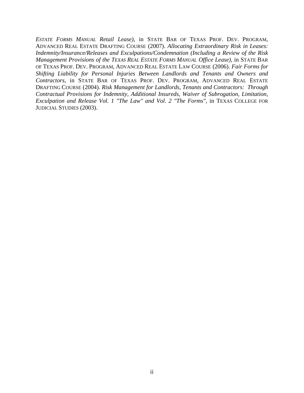*ESTATE FORMS MANUAL Retail Lease)*, in STATE BAR OF TEXAS PROF. DEV. PROGRAM, ADVANCED REAL ESTATE DRAFTING COURSE (2007). *Allocating Extraordinary Risk in Leases: Indemnity/Insurance/Releases and Exculpations/Condemnation (Including a Review of the Risk Management Provisions of the TEXAS REAL ESTATE FORMS MANUAL Office Lease)*, in STATE BAR OF TEXAS PROF. DEV. PROGRAM, ADVANCED REAL ESTATE LAW COURSE (2006). *Fair Forms for Shifting Liability for Personal Injuries Between Landlords and Tenants and Owners and Contractors*, in STATE BAR OF TEXAS PROF. DEV. PROGRAM, ADVANCED REAL ESTATE DRAFTING COURSE (2004). *Risk Management for Landlords, Tenants and Contractors: Through Contractual Provisions for Indemnity, Additional Insureds, Waiver of Subrogation, Limitation, Exculpation and Release Vol. 1 "The Law" and Vol. 2 "The Forms"*, in TEXAS COLLEGE FOR JUDICIAL STUDIES (2003).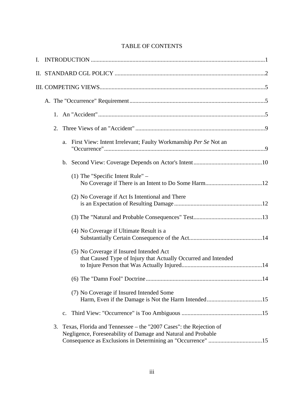# TABLE OF CONTENTS

| I. |    |                |                                                                                                                                    |     |  |  |  |
|----|----|----------------|------------------------------------------------------------------------------------------------------------------------------------|-----|--|--|--|
|    |    |                |                                                                                                                                    |     |  |  |  |
|    |    |                |                                                                                                                                    |     |  |  |  |
|    |    |                |                                                                                                                                    |     |  |  |  |
|    |    |                |                                                                                                                                    |     |  |  |  |
|    | 2. |                |                                                                                                                                    |     |  |  |  |
|    |    | a.             | First View: Intent Irrelevant; Faulty Workmanship Per Se Not an                                                                    |     |  |  |  |
|    |    |                |                                                                                                                                    |     |  |  |  |
|    |    |                | $(1)$ The "Specific Intent Rule" –                                                                                                 |     |  |  |  |
|    |    |                | (2) No Coverage if Act Is Intentional and There                                                                                    |     |  |  |  |
|    |    |                |                                                                                                                                    |     |  |  |  |
|    |    |                | (4) No Coverage if Ultimate Result is a                                                                                            |     |  |  |  |
|    |    |                | (5) No Coverage if Insured Intended Act<br>that Caused Type of Injury that Actually Occurred and Intended                          |     |  |  |  |
|    |    |                |                                                                                                                                    | .14 |  |  |  |
|    |    |                | (7) No Coverage if Insured Intended Some                                                                                           |     |  |  |  |
|    |    | $\mathbf{c}$ . |                                                                                                                                    |     |  |  |  |
|    | 3. |                | Texas, Florida and Tennessee - the "2007 Cases": the Rejection of<br>Negligence, Foreseeability of Damage and Natural and Probable |     |  |  |  |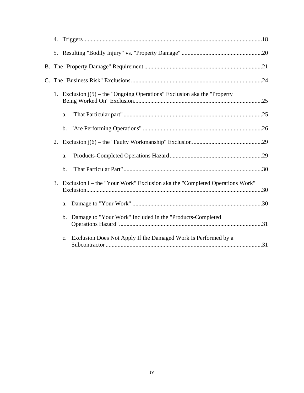|             | 4. |                                                                             |  |
|-------------|----|-----------------------------------------------------------------------------|--|
|             |    |                                                                             |  |
|             |    |                                                                             |  |
| $C_{\cdot}$ |    |                                                                             |  |
|             |    | 1. Exclusion $j(5)$ – the "Ongoing Operations" Exclusion aka the "Property  |  |
|             |    |                                                                             |  |
|             |    |                                                                             |  |
|             |    |                                                                             |  |
|             |    | a.                                                                          |  |
|             |    |                                                                             |  |
|             | 3. | Exclusion 1 - the "Your Work" Exclusion aka the "Completed Operations Work" |  |
|             |    |                                                                             |  |
|             |    | b. Damage to "Your Work" Included in the "Products-Completed"               |  |
|             |    | c. Exclusion Does Not Apply If the Damaged Work Is Performed by a           |  |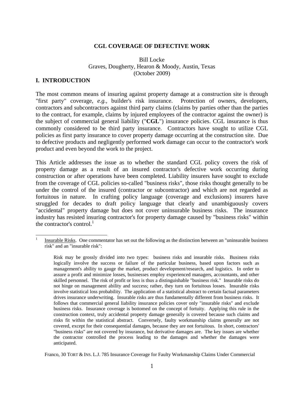#### **CGL COVERAGE OF DEFECTIVE WORK**

#### Bill Locke Graves, Dougherty, Hearon & Moody, Austin, Texas (October 2009)

#### **I. INTRODUCTION**

 $\overline{a}$ 

The most common means of insuring against property damage at a construction site is through "first party" coverage, *e.g.,* builder's risk insurance. Protection of owners, developers, contractors and subcontractors against third party claims (claims by parties other than the parties to the contract, for example, claims by injured employees of the contractor against the owner) is the subject of commercial general liability ("**CGL**") insurance policies. CGL insurance is thus commonly considered to be third party insurance. Contractors have sought to utilize CGL policies as first party insurance to cover property damage occurring at the construction site. Due to defective products and negligently performed work damage can occur to the contractor's work product and even beyond the work to the project.

This Article addresses the issue as to whether the standard CGL policy covers the risk of property damage as a result of an insured contractor's defective work occurring during construction or after operations have been completed. Liability insurers have sought to exclude from the coverage of CGL policies so-called "business risks", those risks thought generally to be under the control of the insured (contractor or subcontractor) and which are not regarded as fortuitous in nature. In crafting policy language (coverage and exclusions) insurers have struggled for decades to draft policy language that clearly and unambiguously covers "accidental" property damage but does not cover uninsurable business risks. The insurance industry has resisted insuring contractor's for property damage caused by "business risks" within the contractor's control. $<sup>1</sup>$ </sup>

Franco, 30 TORT & INS. L.J. 785 Insurance Coverage for Faulty Workmanship Claims Under Commercial

Insurable Risks. One commentator has set out the following as the distinction between an "uninsurable business risk" and an "insurable risk":

Risk may be grossly divided into two types: business risks and insurable risks. Business risks logically involve the success or failure of the particular business, based upon factors such as management's ability to gauge the market, product development/research, and logistics. In order to assure a profit and minimize losses, businesses employ experienced managers, accountants, and other skilled personnel. The risk of profit or loss is thus a distinguishable "business risk." Insurable risks do not hinge on management ability and success; rather, they turn on fortuitous losses. Insurable risks involve statistical loss probability. The application of a statistical abstract to certain factual parameters drives insurance underwriting. Insurable risks are thus fundamentally different from business risks. It follows that commercial general liability insurance policies cover only "insurable risks" and exclude business risks. Insurance coverage is bottomed on the concept of fortuity. Applying this rule in the construction context, truly accidental property damage generally is covered because such claims and risks fit within the statistical abstract. Conversely, faulty workmanship claims generally are not covered, except for their consequential damages, because they are not fortuitous. In short, contractors' "business risks" are not covered by insurance, but derivative damages are. The key issues are whether the contractor controlled the process leading to the damages and whether the damages were anticipated.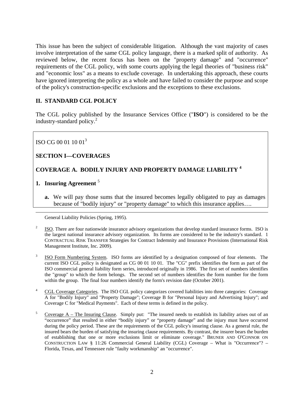This issue has been the subject of considerable litigation. Although the vast majority of cases involve interpretation of the same CGL policy language, there is a marked split of authority. As reviewed below, the recent focus has been on the "property damage" and "occurrence" requirements of the CGL policy, with some courts applying the legal theories of "business risk" and "economic loss" as a means to exclude coverage. In undertaking this approach, these courts have ignored interpreting the policy as a whole and have failed to consider the purpose and scope of the policy's construction-specific exclusions and the exceptions to these exclusions.

# **II. STANDARD CGL POLICY**

The CGL policy published by the Insurance Services Office ("**ISO**") is considered to be the industry-standard policy.<sup>2</sup>

ISO CG 00 01 10 013

# **SECTION I—COVERAGES**

# **COVERAGE A. BODILY INJURY AND PROPERTY DAMAGE LIABILITY <sup>4</sup>**

# **1. Insuring Agreement** <sup>5</sup>

 $\overline{a}$ 

**a.** We will pay those sums that the insured becomes legally obligated to pay as damages because of "bodily injury" or "property damage" to which this insurance applies….

General Liability Policies (Spring, 1995).

- 2 ISO. There are four nationwide insurance advisory organizations that develop standard insurance forms. ISO is the largest national insurance advisory organization. Its forms are considered to be the industry's standard. 1 CONTRACTUAL RISK TRANSFER Strategies for Contract Indemnity and Insurance Provisions (International Risk Management Institute, Inc. 2009).
- 3 ISO Form Numbering System. ISO forms are identified by a designation composed of four elements. The current ISO CGL policy is designated as CG 00 01 10 01. The "CG" prefix identifies the form as part of the ISO commercial general liability form series, introduced originally in 1986. The first set of numbers identifies the "group" to which the form belongs. The second set of numbers identifies the form number for the form within the group. The final four numbers identify the form's revision date (October 2001).
- 4 CGL Coverage Categories. The ISO CGL policy categorizes covered liabilities into three categories: Coverage A for "Bodily Injury" and "Property Damage"; Coverage B for "Personal Injury and Advertising Injury"; and Coverage C for "Medical Payments". Each of these terms is defined in the policy.
- 5 Coverage A – The Insuring Clause. Simply put: "The insured needs to establish its liability arises out of an "occurrence" that resulted in either "bodily injury" or "property damage" and the injury must have occurred during the policy period. These are the requirements of the CGL policy's insuring clause. As a general rule, the insured bears the burden of satisfying the insuring clause requirements. By contrast, the insurer bears the burden of establishing that one or more exclusions limit or eliminate coverage." BRUNER AND O'CONNOR ON CONSTRUCTION LAW § 11:26 Commercial General Liability (CGL) Coverage – What is "Occurrence"? – Florida, Texas, and Tennessee rule "faulty workmanship" an "occurrence".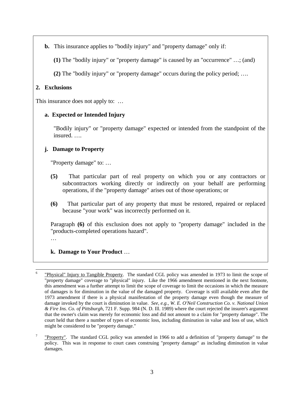**b.** This insurance applies to "bodily injury" and "property damage" only if:

**(1)** The "bodily injury" or "property damage" is caused by an "occurrence" …; (and)

**(2)** The "bodily injury" or "property damage" occurs during the policy period; ….

# **2. Exclusions**

This insurance does not apply to: ...

# **a. Expected or Intended Injury**

"Bodily injury" or "property damage" expected or intended from the standpoint of the insured. ….

# **j. Damage to Property**

"Property damage" to: …

- **(5)** That particular part of real property on which you or any contractors or subcontractors working directly or indirectly on your behalf are performing operations, if the "property damage" arises out of those operations; or
- **(6)** That particular part of any property that must be restored, repaired or replaced because "your work" was incorrectly performed on it.

Paragraph **(6)** of this exclusion does not apply to "property damage" included in the "products-completed operations hazard".

…

# **k. Damage to Your Product** …

 <sup>6</sup> "Physical" Injury to Tangible Property. The standard CGL policy was amended in 1973 to limit the scope of "property damage" coverage to "physical" injury. Like the 1966 amendment mentioned in the next footnote, this amendment was a further attempt to limit the scope of coverage to limit the occasions in which the measure of damages is for diminution in the value of the damaged property. Coverage is still available even after the 1973 amendment if there is a physical manifestation of the property damage even though the measure of damage invoked by the court is diminution in value. *See, e.g., W. E. O'Neil Construction Co. v. National Union & Fire Ins. Co. of Pittsburgh*, 721 F. Supp. 984 (N. D. Ill. 1989) where the court rejected the insurer's argument that the owner's claim was merely for economic loss and did not amount to a claim for "property damage". The court held that there a number of types of economic loss, including diminution in value and loss of use, which might be considered to be "property damage."

<sup>7</sup> "Property". The standard CGL policy was amended in 1966 to add a definition of "property damage" to the policy. This was in response to court cases construing "property damage" as including diminution in value damages.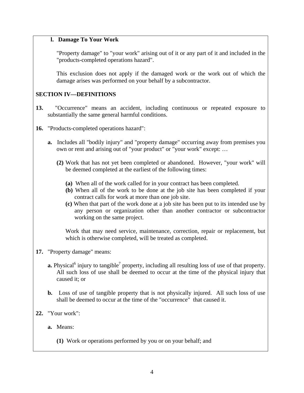# **l. Damage To Your Work**

"Property damage" to "your work" arising out of it or any part of it and included in the "products-completed operations hazard".

This exclusion does not apply if the damaged work or the work out of which the damage arises was performed on your behalf by a subcontractor.

# **SECTION IV—DEFINITIONS**

- **13.** "Occurrence" means an accident, including continuous or repeated exposure to substantially the same general harmful conditions.
- **16.** "Products-completed operations hazard":
	- **a.** Includes all "bodily injury" and "property damage" occurring away from premises you own or rent and arising out of "your product" or "your work" except: …
		- **(2)** Work that has not yet been completed or abandoned. However, "your work" will be deemed completed at the earliest of the following times:
			- **(a)** When all of the work called for in your contract has been completed.
			- **(b)** When all of the work to be done at the job site has been completed if your contract calls for work at more than one job site.
			- **(c)** When that part of the work done at a job site has been put to its intended use by any person or organization other than another contractor or subcontractor working on the same project.

Work that may need service, maintenance, correction, repair or replacement, but which is otherwise completed, will be treated as completed.

- **17.** "Property damage" means:
	- **a.** Physical<sup>6</sup> injury to tangible<sup>7</sup> property, including all resulting loss of use of that property. All such loss of use shall be deemed to occur at the time of the physical injury that caused it; or
	- **b.** Loss of use of tangible property that is not physically injured. All such loss of use shall be deemed to occur at the time of the "occurrence" that caused it.
- **22.** "Your work":
	- **a.** Means:
		- **(1)** Work or operations performed by you or on your behalf; and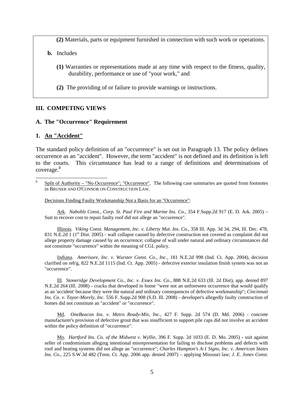**(2)** Materials, parts or equipment furnished in connection with such work or operations.

- **b.** Includes
	- **(1)** Warranties or representations made at any time with respect to the fitness, quality, durability, performance or use of "your work," and
	- **(2)** The providing of or failure to provide warnings or instructions.

#### **III. COMPETING VIEWS**

#### **A. The "Occurrence" Requirement**

#### **1. An "Accident"**

 $\overline{a}$ 

The standard policy definition of an "occurrence" is set out in Paragraph 13. The policy defines occurrence as an "accident". However, the term "accident" is not defined and its definition is left to the courts. This circumstance has lead to a range of definitions and determinations of coverage.<sup>8</sup>

Decisions Finding Faulty Workmanship Not a Basis for an "Occurrence":

 Ark. *Nabohlz Const., Corp. St. Paul Fire and Marine Ins. Co.,* 354 F.Supp.2d 917 (E. D. Ark. 2005) – Suit to recover cost to repair faulty roof did not allege an "occurrence".

 Illinois. *Viking Const. Management, Inc. v. Liberty Mut. Ins. Co.*, 358 Ill. App. 3d 34, 294, Ill. Dec. 478, 831 N.E.2d 1 (1<sup>st</sup> Dist. 2005) - wall collapse caused by defective construction not covered as complaint did not allege property damage caused by an occurrence; collapse of wall under natural and ordinary circumstances did not constitute "occurrence" within the meaning of CGL policy.

 Indiana. *Amerisure, Inc. v. Wurster Const. Co., Inc.,* 181 N.E.2d 998 (Ind. Ct. App. 2004), decision clarified on reh'g, 822 N.E.2d 1115 (Ind. Ct. App. 2005) - defective exterior insulation finish system was not an "occurrence".

 Ill. *Stoneridge Development Co., Inc. v. Essex Ins. Co.,* 888 N.E.2d 633 (Ill. 2d Dist), app. denied 897 N.E.2d 264 (Ill. 2008) - cracks that developed in home "were not an unforeseen occurrence that would qualify as an 'accident' because they were the natural and ordinary consequences of defective workmanship"; *Cincinnati Ins. Co. v. Tayor-Morely, Inc.* 556 F. Supp.2d 908 (S.D. Ill. 2008) - developer's allegedly faulty construction of homes did not constitute an "accident" or "occurrence".

Md. *OneBeacon Ins. v. Metro Ready-Mix, Inc.,* 427 F. Supp. 2d 574 (D. Md. 2006) - concrete manufacturer's provision of defective grout that was insufficient to support pile caps did not involve an accident within the policy definition of "occurrence".

 Mo. *Hartford Ins. Co. of the Midwest v. Wyllie*, 396 F. Supp. 2d 1033 (E. D. Mo. 2005) - suit against seller of condominium alleging intentional misrepresentation for failing to disclose problems and defects with roof and heating systems did not allege an "occurrence"; *Charles Hampton's A-1 Signs, Inc. v. American States Ins. Co.*, 225 S.W.3d 482 (Tenn. Ct. App. 2006 app. denied 2007) – applying Missouri law; *J. E. Jones Const.* 

<sup>8</sup> Split of Authority – "No Occurrence"; "Occurrence". The following case summaries are quoted from footnotes in BRUNER AND O'CONNOR ON CONSTRUCTION LAW.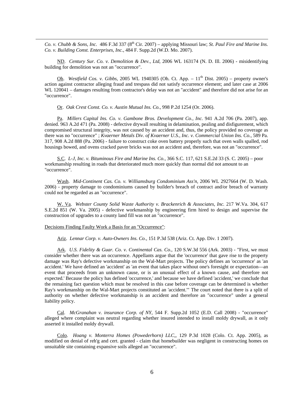*Co. v. Chubb & Sons, Inc.* 486 F.3d 337 (8th Cir. 2007) – applying Missouri law; *St. Paul Fire and Marine Ins. Co. v. Building Const. Enterprises, Inc.*, 484 F. Supp.2d (W.D. Mo. 2007).

ND. *Century Sur. Co. v. Demolition & Dev., Ltd*, 2006 WL 163174 (N. D. Ill. 2006) - misidentifying building for demolition was not an "occurrence".

Oh. *Westfield Cos. v. Gibbs*, 2005 WL 1940305 (Oh. Ct. App. – 11<sup>th</sup> Dist. 2005) – property owner's action against contractor alleging fraud and trespass did not satisfy occurrence element; and later case at 2006 WL 120041 – damages resulting from contractor's delay was not an "accident" and therefore did not arise for an "occurrence".

Or. *Oak Crest Const. Co. v. Austin Mutual Ins. Co.*, 998 P.2d 1254 (Or. 2006).

 Pa. *Millers Capital Ins. Co. v. Gambone Bros. Development Co., Inc.* 941 A.2d 706 (Pa. 2007), app. denied. 963 A.2d 471 (Pa. 2008) - defective drywall resulting in delamination, pealing and disfigurement, which compromised structural integrity, was not caused by an accident and, thus, the policy provided no coverage as there was no "occurrence" ; *Kvaerner Metals Div. of Kvaerner U.S., Inc. v. Commercial Union Ins. Co.*, 589 Pa. 317, 908 A.2d 888 (Pa. 2006) - failure to construct coke oven battery properly such that oven walls spalled, rod housings bowed, and ovens cracked paver bricks was not an accident and, therefore, was not an "occurrence".

 S.C. *L-J, Inc. v. Bituminous Fire and Marine Ins. Co.*, 366 S.C. 117, 621 S.E.2d 33 (S. C. 2005) – poor workmanship resulting in roads that deteriorated much more quickly than normal did not amount to an "occurrence".

 Wash. *Mid-Continent Cas. Co. v. Williamsburg Condominium Ass'n,* 2006 WL 2927664 (W. D. Wash. 2006) - property damage to condominiums caused by builder's breach of contract and/or breach of warranty could not be regarded as an "occurrence".

 W. Va. *Webster County Solid Waste Authority v. Brackenrich & Associates, Inc.* 217 W.Va. 304, 617 S.E.2d 851 (W. Va. 2005) - defective workmanship by engineering firm hired to design and supervise the construction of upgrades to a county land fill was not an "occurrence".

Decisions Finding Faulty Work a Basis for an "Occurrence":

-

Ariz. *Lennar Corp. v. Auto-Owners Ins. Co.*, 151 P.3d 538 (Ariz. Ct. App. Div. 1 2007).

 Ark. *U.S. Fidelity & Guar. Co. v. Continental Cas. Co.*, 120 S.W.3d 556 (Ark. 2003) - "First, we must consider whether there was an occurrence. Appellants argue that the 'occurrence' that gave rise to the property damage was Ray's defective workmanship on the Wal-Mart projects. The policy defines an 'occurrence' as 'an accident.' We have defined an 'accident' as 'an event that takes place without one's foresight or expectation—an event that proceeds from an unknown cause, or is an unusual effect of a known cause, and therefore not expected.' Because the policy has defined 'occurrence,' and because we have defined 'accident,' we conclude that the remaining fact question which must be resolved in this case before coverage can be determined is whether Ray's workmanship on the Wal-Mart projects constituted an 'accident.'" The court noted that there is a split of authority on whether defective workmanship is an accident and therefore an "occurrence" under a general liability policy.

 Cal. *McGranahan v. insurance Corp. of NY*, 544 F. Supp.2d 1052 (E.D. Call 2008) - "occurrence" alleged where complaint was neutral regarding whether insured intended to install moldy drywall, as it only asserted it installed moldy drywall.

 Colo. *Hoang v. Monterra Homes (Powederhorn) LLC,*, 129 P.3d 1028 (Colo. Ct. App. 2005), as modified on denial of reh'g and cert. granted - claim that homebuilder was negligent in constructing homes on unsuitable site containing expansive soils alleged an "occurrence".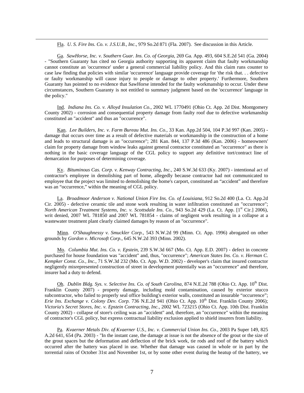Fla. *U. S. Fire Ins. Co. v. J.S.U.B., Inc.*, 979 So.2d 871 (Fla. 2007). See discussion in this Article.

-

 Ga. *SawHorse, Inc. v. Southern Guar. Ins. Co. of Georgia*, 269 Ga. App. 493, 604 S.E.2d 541 (Ga. 2004) - "Southern Guaranty has cited no Georgia authority supporting its apparent claim that faulty workmanship cannot constitute an 'occurrence' under a general commercial liability policy. And this claim runs counter to case law finding that policies with similar 'occurrence' language provide coverage for 'the risk that. . . defective or faulty workmanship will cause injury to people or damage to other property.' Furthermore, Southern Guaranty has pointed to no evidence that SawHorse intended for the faulty workmanship to occur. Under these circumstances, Southern Guaranty is not entitled to summary judgment based on the 'occurrence' language in the policy."

 Ind. *Indiana Ins. Co. v. Alloyd Insulation Co.,* 2002 WL 1770491 (Ohio Ct. App. 2d Dist. Montgomery County 2002) - corrosion and consequential property damage from faulty roof due to defective workmanship constituted an "accident" and thus an "occurrence".

 Kan. *Lee Builders, Inc. v. Farm Bureau Mut. Ins. Co.,* 33 Kan. App.2d 504, 104 P.3d 997 (Kan. 2005) damage that occurs over time as a result of defective materials or workmanship in the construction of a home and leads to structural damage is an "occurrence"; 281 Kan. 844, 137 P.3d 486 (Kan. 2006) - homeowners' claim for property damage from window leaks against general contractor constituted an "occurrence" as there is nothing in the basic coverage language of the CGL policy to support any definitive tort/contract line of demarcation for purposes of determining coverage.

 Ky. *Bituminous Cas. Corp. v. Kenway Contracting, Inc.*, 240 S.W.3d 633 (Ky. 2007) - intentional act of contractor's employee in demolishing part of home, allegedly because contractor had not communicated to employee that the project was limited to demolishing the home's carport, constituted an "accident" and therefore was an "occurrence," within the meaning of CGL policy.

 La. *Broadmoor Anderson v. National Union Fire Ins. Co. of Louisiana*, 912 So.2d 400 (La. Ct. App.2d Cir. 2005) - defective ceramic tile and stone work resulting in water infiltration constituted an "occurrence"; *North American Treatment Systems, Inc. v. Scottsdale Ins. Co., 943 So.2d 429 (La. Ct. App. [1<sup>st</sup> Cir.] 2006),* writ denied, 2007 WL 781850 and 2007 WL 781854 - claims of negligent work resulting in a collapse at a wastewater treatment plant clearly claimed damages by reason of an "occurrence".

 Minn. *O'Shaughnessy v. Smuckler Corp.*, 543 N.W.2d 99 (Minn. Ct. App. 1996) abrogated on other grounds by *Gordon v. Microsoft Corp.*, 645 N.W.2d 393 (Minn. 2002).

 Mo. *Columbia Mut. Ins. Co. v. Epstein*, 239 S.W.3d 667 (Mo. Ct. App. E.D. 2007) - defect in concrete purchased for house foundation was "accident" and, thus, "occurrence"; *American States Ins. Co. v. Herman C. Kempker Const. Co., Inc.,* 71 S.W.3d 232 (Mo. Ct. App. W.D. 2002) - developer's claim that insured contractor negligently misrepresented construction of street in development potentially was an "occurrence" and therefore, insurer had a duty to defend.

Oh. *Dublin Bldg. Sys. v. Selective Ins. Co. of South Carolina*, 874 N.E.2d 788 (Ohio Ct. App. 10<sup>th</sup> Dist. Franklin County 2007) - property damage, including mold contamination, caused by exterior stucco subcontractor, who failed to properly seal office building's exterior walls, constituted an insurable "occurrence"; *Erie Ins. Exchange v. Colony Dev. Corp.* 736 N.E.2d 941 (Ohio Ct. App. 10<sup>th</sup> Dist. Franklin County 2006); *Victoria's Secret Stores, Inc. v. Epstein Contracting, Inc.,* 2002 WL 723215 (Ohio Ct. App. 10th Dist. Franklin County 2002) - collapse of store's ceiling was an "accident" and, therefore, an "occurrence" within the meaning of contractor's CGL policy, but express contractual liability exclusion applied to shield insurers from liability.

 Pa. *Kvaerner Metals Div. of Kvaerner U.S., Inc. v. Commercial Union Ins. Co.,* 2003 Pa Super 149, 825 A.2d 641, 654 (Pa. 2003) - "In the instant case, the damage at issue is not the absence of the grout or the size of the grout spaces but the deformation and deflection of the brick work, tie rods and roof of the battery which occurred after the battery was placed in use. Whether that damage was caused in whole or in part by the torrential rains of October 31st and November 1st, or by some other event during the heatup of the battery, we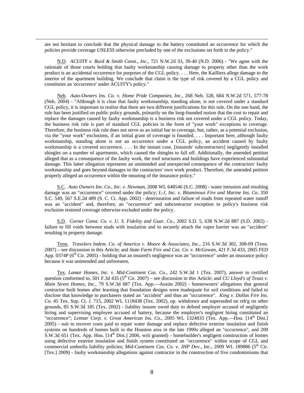are not hesitant to conclude that the physical damage to the battery constituted an occurrence for which the policies provide coverage *UNLESS* otherwise precluded by one of the exclusions set forth in the policy."

-

 N.D. *ACUITY v. Burd & Smith Const., Inc.,* 721 N.W.2d 33, 39-40 (N.D. 2006) - "We agree with the rationale of those courts holding that faulty workmanship causing damage to property other than the work product is an accidental occurrence for purposes of the CGL policy. . . . Here, the Kailliers allege damage to the interior of the apartment building. We conclude that claim is the type of risk covered by a CGL policy and constitutes an 'occurrence' under ACUITY's policy."

 Neb. *Auto-Owners Ins. Co. v. Home Pride Companies, Inc.*, 268 Neb. 528, 684 N.W.2d 571, 577-78 (Neb. 2004) - "Although it is clear that faulty workmanship, standing alone, is not covered under a standard CGL policy, it is important to realize that there are two different justifications for this rule. On the one hand, the rule has been justified on public policy grounds, primarily on the long-founded notion that the cost to repair and replace the damages caused by faulty workmanship is a business risk not covered under a CGL policy. Today, the business risk rule is part of standard CGL policies in the form of "your work" exceptions to coverage. Therefore, the business risk rule does not serve as an initial bar to coverage, but, rather, as a potential exclusion, via the "your work" exclusions, if an initial grant of coverage is founded. . . . Important here, although faulty workmanship, standing alone is not an occurrence under a CGL policy, an accident caused by faulty workmanship is a covered occurrence. . . . In the instant case, [insureds' subcontractors] negligently installed shingles on a number of apartments, which caused the shingles to fall off. Additionally, the amended petition alleged that as a consequence of the faulty work, the roof structures and buildings have experienced substantial damage. This latter allegation represents an unintended and unexpected consequence of the contractors' faulty workmanship and goes beyond damages to the contractors' own work product. Therefore, the amended petition properly alleged an occurrence within the meaning of the insurance policy."

 S.C. *Auto Owners Ins. Co., Inc. v. Newman*, 2008 WL 648546 (S.C. 2008) - water intrusion and resulting damage was an "occurrence" covered under the policy; *L-J, Inc. v. Bituminous Fire and Marine Ins. Co.* 350 S.C. 549, 567 S.E.2d 489 (S. C. Ct. App. 2002) - deterioration and failure of roads from repeated water runoff was an "accident" and, therefore, an "occurrence" and subcontractor exception to policy's business risk exclusion restored coverage otherwise excluded under the policy.

 S.D. *Corner Const. Co. v. U. S. Fidelity and Guar. Co.,* 2002 S.D. 5, 638 N.W.2d 887 (S.D. 2002) failure to fill voids between studs with insulation and to securely attach the vapor barrier was an "accident" resulting in property damage.

 Tenn. *Travelers Indem. Co. of America v. Moore & Associates, Inc.,* 216 S.W.3d 302, 308-09 (Tenn. 2007) – see discussion in this Article; and *State Farm Fire and Cas. Co. v. McGowan*, 421 F.3d 433, 2005 FED App. 0374P ( $6<sup>th</sup>$  Cir. 2005) - holding that an insured's negligence was an "occurrence" under an insurance policy because it was unintended and unforeseen.

 Tex. *Lamar Homes, Inc. v. Mid-Continent Cas. Co.*, 242 S.W.3d 1 (Tex. 2007), answer to certified question conformed to, 501 F.3d 435 ( $5<sup>th</sup>$  Cir. 2007) – see discussion in this Article; and *CU Lloyd's of Texas v*. *Main Street Homes, Inc.,* 79 S.W.3d 687 (Tex. App.—Austin 2002) - homeowners' allegations that general contractor built homes after learning that foundation designs were inadequate for soil conditions and failed to disclose that knowledge to purchasers stated an "accident" and thus an "occurrence". *King v. Dallas Fire Ins. Co.* 45 Tex. Sup. Ct. J. 715, 2002 WL 1118438 (Tex. 2002), op. withdrawn and superseded on reh'g on other grounds, 85 S.W.3d 185 (Tex. 2002) - liability insurer owed duty to defend employer accused of negligently hiring and supervising employee accused of battery, because the employer's negligent hiring constituted an "occurrence"; *Lennar Corp. v. Great American Ins. Co.*, 2005 WL 1324833 (Tex. App.—Hou. [14<sup>th</sup> Dist.] 2005) - suit to recover costs paid to repair water damage and replace defective exterior insulation and finish systems on hundreds of homes built in the Houston area in the late 1990s alleged an "occurrence", and 200 S.W.3d 651 (Tex. App. Hou. [14<sup>th</sup> Dist.] 2006, writ granted) - homebuilder's negligent construction of homes using defective exterior insulation and finish system constituted an "occurrence" within scope of CGL and commercial umbrella liability policies; *Mid-Continent Cas. Co. v. JHP Dev., Inc.*, 2009 WL 189886 (5<sup>th</sup> Cir. [Tex.] 2009) - faulty workmanship allegations against contractor in the construction of five condominiums that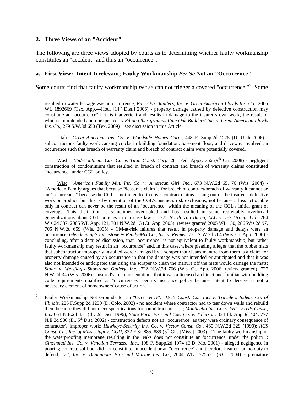#### **2. Three Views of an "Accident"**

 $\overline{\phantom{a}}$ 

The following are three views adopted by courts as to determining whether faulty workmanship constitutes an "accident" and thus an "occurrence".

#### **a. First View: Intent Irrelevant; Faulty Workmanship** *Per Se* **Not an "Occurrence"**

Some courts find that faulty workmanship *per se* can not trigger a covered "occurrence."<sup>9</sup> Some

resulted in water leakage was an occurrence; *Pine Oak Builders, Inc. v. Great American Lloyds Ins. Co.*, 2006 WL 1892669 (Tex. App.—Hou.  $[14^{\text{th}}$  Dist.] 2006) - property damage caused by defective construction may constitute an "occurrence" if it is inadvertent and results in damage to the insured's own work, the result of which is unintended and unexpected, *rev'd on other grounds Pine Oak Builders' Inc. v. Great American Lloyds Ins. Co*., 279 S.W.3d 650 (Tex. 2009) – see discussion in this Article.

 Utah. *Great American Ins. Co. v. Woodside Homes Corp.*, 448 F. Supp.2d 1275 (D. Utah 2006) subcontractor's faulty work causing cracks in building foundation, basement floor, and driveway involved an occurrence such that breach of warranty claim and breach of contract claim were potentially covered.

Wash. *Mid-Continent Cas. Co. v. Titan Const. Corp.* 281 Fed. Appx. 766 (9<sup>th</sup> Cir. 2008) - negligent construction of condominium that resulted in breach of contract and breach of warranty claims constituted "occurrence" under CGL policy.

 Wisc. *American Family Mut. Ins. Co. v. American Girl, Inc.*, 673 N.W.2d 65, 76 (Wis. 2004) - "American Family argues that because Pleasant's claim is for breach of contract/breach of warranty it cannot be an "occurrence," because the CGL is not intended to cover contract claims arising out of the insured's defective work or product, but this is by operation of the CGL's business risk exclusions, not because a loss actionable only in contract can never be the result of an "occurrence" within the meaning of the CGL's initial grant of coverage. This distinction is sometimes overlooked and has resulted in some regrettably overbroad generalizations about CGL policies in our case law."; *1325 North Van Buren, LLC v. T-3 Group, Ltd.*, 284 Wis.2d 387, 2005 WI. App. 121, 701 N.W.2d 13 (Ct. App. 2005), review granted 2005 WI. 150, 286 Wis.2d 97, 705 N.W.2d 659 (Wis. 2005) - CM-at-risk failures that result in property damage and delays were an occurrence; *Glendenning's Limestone & Ready-Mix Co., Inc. v. Reimer*, 721 N.W.2d 704 (Wis. Ct. App. 2006) concluding, after a detailed discussion, that "occurrence" is not equivalent to faulty workmanship, but rather faulty workmanship may result in an "occurrence" and, in this case, where pleading alleges that the rubber mats that subcontractor improperly installed were damaged by a scraper that cleans manure from them is a claim for property damage caused by an occurrence in that the damage was not intended or anticipated and that it was also not intended or anticipated that using the scraper to clean the manure off the mats would damage the mats; *Stuart v. Weisflog's Showroom Gallery, Inc.,* 722 N.W.2d 766 (Wis. Ct. App. 2006, review granted), 727 N.W.2d 34 (Wis. 2006) - insured's misrepresentations that it was a licensed architect and familiar with building code requirements qualified as "occurrences" per its insurance policy because intent to deceive is not a necessary element of homeowners' cause of action.

9 Faulty Workmanship Not Grounds for an "Occurrence". *DCB Const. Co., Inc. v. Travelers Indem. Co. of Illinois*, 225 F.Supp.2d 1230 (D. Colo. 2002) - no accident where contractor had to tear down walls and rebuild them because they did not meet specifications for sound transmission; *Monticello Ins. Co. v. Wil—Freds Const., Inc.* 661 N.E.2d 451 (Ill. 2d Dist. 1996); *State Farm Fire and Cas. Co. v. Tillerson*, 334 Ill. App.3d 404, 777 N.E.2d 986 (Ill. 5<sup>th</sup> Dist. 2002) - construction defects not an "occurrence" as they were ordinary consequence of contractor's improper work; *Hawkeye-Security Ins. Co. v. Vector Const. Co.*, 460 N.W.2d 329 (1990); *ACS Const. Co., Inc. of Mississippi v. CGU,* 332 F.3d 885, 889 (5<sup>th</sup> Cir. [Miss.] 2003) - "The faulty workmanship of the waterproofing membrane resulting in the leaks does not constitute an 'occurrence' under the policy."; *Cincinnati Ins. Co. v. Venetian Terrazzo, Inc.*, 198 F. Supp.2d 1074 (E.D. Mo. 2001) - alleged negligence in pouring concrete subfloor did not constitute an accident or an "occurrence" and therefore insurer had no duty to defend; *L-J, Inc. v. Bituminous Fire and Marine Ins. Co.*, 2004 WL 1775571 (S.C. 2004) - premature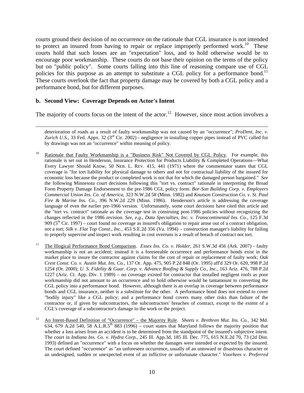courts ground their decision of no occurrence on the rationale that CGL insurance is not intended to protect an insured from having to repair or replace improperly performed work.<sup>10</sup> These courts hold that such losses are an "expectation" loss, and to hold otherwise would be to encourage poor workmanship. These courts do not base their opinion on the terms of the policy but on "public policy". Some courts falling into this line of reasoning compare use of CGL policies for this purpose as an attempt to substitute a CGL policy for a performance bond.<sup>11</sup> These courts overlook the fact that property damage may be covered by both a CGL policy and a performance bond, but for different purposes.

#### **b. Second View: Coverage Depends on Actor's Intent**

 $\overline{\phantom{a}}$ 

The majority of courts focus on the intent of the actor.<sup>12</sup> However, since most action involves a

deterioration of roads as a result of faulty workmanship was not caused by an "occurrence"; *ProDent, Inc. v. Zurich U.S.*, 33 Fed. Appx. 32 (3<sup>rd</sup> Cir. 2002) - negligence in installing copper pipes instead of PVC called for by drawings was not an "occurrence" within meaning of policy.

- <sup>10</sup> Rationale that Faulty Workmanship is a "Business Risk" Not Covered by CGL Policy. For example, this rationale is set out in Henderson, Insurance Protection for Products Liability & Completed Operations—What Every Lawyer Should Know, 50 NEB. L. REV. 415, 441 (1971) where the commentator states that CGL coverage is "for tort liability for physical damage to others and not for contractual liability of the insured for economic loss because the product or completed work is not that for which the damaged person bargained." *See*  the following Minnesota court decisions following this "tort vs. contract" rationale in interpreting the Broad Form Property Damage Endorsement to the pre-1986 CGL policy form: *Bor-Son Building Corp. v. Employers Commercial Union Ins. Co. of America*, 323 N.W.2d 58 (Minn. 1982) and *Knutson Construction Co. v. St. Paul Fire & Marine Ins. Co.*, 396 N.W.2d 229 (Minn. 1986). Henderson's article is addressing the coverage language of even the earlier pre-1966 version. Unfortunately, some court decisions have cited this article and the "tort vs. contract" rationale as the coverage test in construing post-1986 policies without recognizing the changes reflected in the 1986 revision. *See*, *e.g.*, *Data Specialties, Inc. v. Transcontinental Ins. Co.*, 125 F.3d 909 ( $5<sup>th</sup>$  Cir. 1997) – court found no coverage as insured's obligation to repair arose out of a contract obligation, not a tort; *Silk v. Flat Top Const., Inc.*, 453 S.E.2d 356 (Va. 1994) – construction manager's liability for failing to properly supervise and inspect work resulting in cost overruns is a result of breach of contract not tort.
- <sup>11</sup> The Illogical Performance Bond Comparison. *Essex Ins. Co. v. Holder*, 261 S.W.3d 456 (Ark. 2007) faulty workmanship is not an accident; instead it is a foreseeable occurrence and performance bonds exist in the market place to insure the contractor against claims for the cost of repair or replacement of faulty work; *Oak Crest Const. Co. v. Austin Mut. Ins. Co.*, 137 Or. App. 475, 905 P.2d 848 (Or. 1995) aff'd 329 Or. 620, 998 P.2d 1254 (Or. 2000); *U. S. Fidelity & Guar. Corp. v. Advance Roofing & Supply Co., Inc.*, 163 Ariz. 476, 788 P.2d 1227 (Ariz. Ct. App. Div. 1 1989) – no coverage existed for contractor that installed negligent roofs as poor workmanship did not amount to an occurrence and to hold otherwise would be tantamount to converting the CGL policy into a performance bond. However, although there is an overlap in coverage between performance bonds and CGL insurance, neither is a substitute for the other. A performance bond does not extend to cover "bodily injury" like a CGL policy; and a performance bond covers many other risks than failure of the contractor or, if given by subcontractors, the subcontractors' breaches of contract, except to the extent of a CGL's coverage of a subcontractor's damage to the work or the project.
- 12 An Intent-Based Definition of "Occurrence" the Majority Rule. *Sheets v. Brethren Mut. Ins. Co.*, 342 Md. 634, 679 A.2d 540, 58 A.L.R.5<sup>th</sup> 883 (1996) – court states that Maryland follows the majority position that whether a loss arises from an accident is to be determined from the standpoint of the insured's subjective intent. The court in *Indiana Ins. Co. v. Hydra Corp.*, 245 Ill. App.3d, 185 Ill. Dec. 775, 615 N.E.2d 70, 73 (2d Dist. 1993) defined an "occurrence" with a focus on whether the damages were intended or expected by the insured. The court defined "occurrence" as "an unforeseen occurrence, usually of an untoward or disastrous character or an undesigned, sudden or unexpected event of an inflictive or unfortunate character." *Voorhees v. Preferred*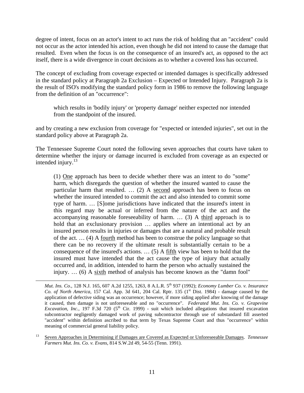degree of intent, focus on an actor's intent to act runs the risk of holding that an "accident" could not occur as the actor intended his action, even though he did not intend to cause the damage that resulted. Even when the focus is on the consequence of an insured's act, as opposed to the act itself, there is a wide divergence in court decisions as to whether a covered loss has occurred.

The concept of excluding from coverage expected or intended damages is specifically addressed in the standard policy at Paragraph 2a Exclusion – Expected or Intended Injury. Paragraph 2a is the result of ISO's modifying the standard policy form in 1986 to remove the following language from the definition of an "occurrence":

which results in 'bodily injury' or 'property damage' neither expected nor intended from the standpoint of the insured.

and by creating a new exclusion from coverage for "expected or intended injuries", set out in the standard policy above at Paragraph 2a.

The Tennessee Supreme Court noted the following seven approaches that courts have taken to determine whether the injury or damage incurred is excluded from coverage as an expected or intended injury. $13$ 

(1) One approach has been to decide whether there was an intent to do "some" harm, which disregards the question of whether the insured wanted to cause the particular harm that resulted. … (2) A second approach has been to focus on whether the insured intended to commit the act and also intended to commit some type of harm. … [S]ome jurisdictions have indicated that the insured's intent in this regard may be actual or inferred from the nature of the act and the accompanying reasonable foreseeability of harm.  $\ldots$  (3) A third approach is to hold that an exclusionary provision ... applies where an intentional act by an insured person results in injuries or damages that are a natural and probable result of the act. … (4) A fourth method has been to construe the policy language so that there can be no recovery if the ultimate result is substantially certain to be a consequence of the insured's actions. … (5) A fifth view has been to hold that the insured must have intended that the act cause the type of injury that actually occurred and, in addition, intended to harm the person who actually sustained the injury. … (6) A sixth method of analysis has become known as the "damn fool"

 $\overline{\phantom{a}}$ 

*Mut. Ins. Co.*, 128 N.J. 165, 607 A.2d 1255, 1263, 8 A.L.R. 5th 937 (1992); *Economy Lumber Co. v. Insurance Co. of North America*, 157 Cal. App. 3d 641, 204 Cal. Rptr. 135 (1<sup>st</sup> Dist. 1984) - damage caused by the application of defective siding was an occurrence; however, if more siding applied after knowing of the damage it caused, then damage is not unforeseeable and no "occurrence". *Federated Mut. Ins. Co. v. Grapevine Excavation, Inc.*, 197 F.3d 720 (5<sup>th</sup> Cir. 1999) - suit which included allegations that insured excavation subcontractor negligently damaged work of paving subcontractor through use of substandard fill asserted "accident" within definition ascribed to that term by Texas Supreme Court and thus "occurrence" within meaning of commercial general liability policy.

<sup>13</sup> Seven Approaches in Determining if Damages are Covered as Expected or Unforeseeable Damages. *Tennessee Farmers Mut. Ins. Co. v. Evans*, 814 S.W.2d 49, 54-55 (Tenn. 1991).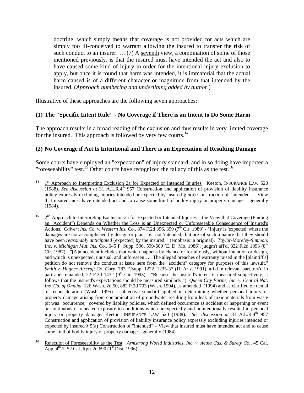doctrine, which simply means that coverage is not provided for acts which are simply too ill-conceived to warrant allowing the insured to transfer the risk of such conduct to an insurer. … (7) A seventh view, a combination of some of those mentioned previously, is that the insured must have intended the act and also to have caused some kind of injury in order for the intentional injury exclusion to apply, but once it is found that harm was intended, it is immaterial that the actual harm caused is of a different character or magnitude from that intended by the insured. (*Approach numbering and underlining added by author*.)

Illustrative of these approaches are the following seven approaches:

# **(1) The "Specific Intent Rule" - No Coverage if There is an Intent to Do Some Harm**

The approach results in a broad reading of the exclusion and thus results in very limited coverage for the insured. This approach is followed by very few courts.<sup>14</sup>

# **(2) No Coverage if Act Is Intentional and There is an Expectation of Resulting Damage**

Some courts have employed an "expectation" of injury standard, and in so doing have imported a "foreseeability" test.<sup>15</sup> Other courts have recognized the fallacy of this as the test.<sup>16</sup>

 $14$ 1<sup>st</sup> Approach to Interpreting Exclusion 2a for Expected or Intended Injuries. Keeton, INSURANCE LAW 520 (1988). *See discussion at* 31 A.L.R.4th 957 Construction and application of provision of liability insurance policy expressly excluding injuries intended or expected by insured § 5(a) Construction of "intended" – View that insured must have intended act and to cause some kind of bodily injury or property damage – generally (1984).

<sup>&</sup>lt;sup>15</sup>  $2<sup>nd</sup>$  Approach to Interpreting Exclusion 2a for Expected or Intended Injuries – the View that Coverage (Finding an "Accident") Depends on Whether the Loss is an Unexpected or Unforeseeable Consequence of Insured's Actions. *Calvert Ins. Co. v. Western Ins. Co.*, 874 F.2d 396, 399 ( $7<sup>th</sup>$  Cir. 1989) - "Injury is 'expected' where the damages are not accomplished by design or plan, *i.e.*, not 'intended,' but are 'of such a nature that they should have been *reasonably anticipated* (expected) by the insured.'" (emphasis in original). *Taylor-Moreley-Simmon, Inc. v. Michigan Mut. Ins. Co.*, 645 F. Supp. 596, 599-600 (E. D. Mo. 1986), judgm't aff'd, 822 F.2d 1093 (8<sup>th</sup> Cir. 1987) - "[A]n accident includes that which happens by chance or fortuitously, without intention or design, and which is unexpected, unusual, and unforeseen… . The alleged breaches of warranty raised in the [plaintiff's] petition do not remove the conduct at issue here from the "accident" category for purposes of this lawsuit." *Smith v. Hughes Aircraft Co. Corp.* 783 F.Supp. 1222, 1235-37 (D. Ariz. 1991), aff'd in relevant part, rev'd in part and remanded, 22 F.3d 1432 ( $9<sup>th</sup>$  Cir. 1993) - "Because the insured's intent is measured subjectively, it follows that the insured's expectations should be measured similarly.") *Queen City Farms, Inc. v. Central Nat. Ins. Co. of Omaha*, 126 Wash. 2d 50, 882 P.2d 703 (Wash. 1994), as amended (1994) and as clarified on denial of reconsideration (Wash. 1995) - subjective standard applied in determining whether personal injury or property damage arising from contamination of groundwater resulting from leak of toxic materials from waste pit was "occurrence," covered by liability policies, which defined occurrence as accident or happening or event or continuous or repeated exposure to conditions which unexpectedly and unintentionally resulted in personal injury or property damage. Keeton, INSURANCE LAW 520 (1988). *See discussion at* 31 A.L.R.4<sup>th</sup> 957 Construction and application of provision of liability insurance policy expressly excluding injuries intended or expected by insured § 5(a) Construction of "intended" – View that insured must have intended act and to cause some kind of bodily injury or property damage – generally (1984).

<sup>16</sup> Rejection of Foreseeability as the Test. *Armstrong World Industries, Inc. v. Aetna Cas. & Surety Co.*, 45 Cal. App.  $4^{th}$  1, 52 Cal. Rptr.2d 690 ( $1^{st}$  Dist. 1996):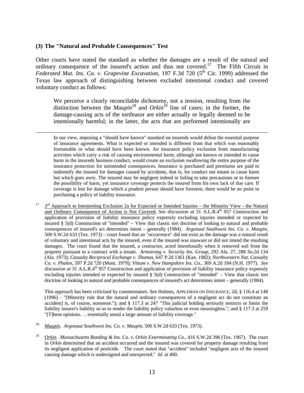#### **(3) The "Natural and Probable Consequences" Test**

 $\overline{\phantom{a}}$ 

Other courts have stated the standard as whether the damages are a result of the natural and ordinary consequence of the insured's action and thus not covered.<sup>17</sup> The Fifth Circuit in *Federated Mut. Ins. Co. v. Grapevine Excavation*, 197 F.3d 720 (5<sup>th</sup> Cir. 1999) addressed the Texas law approach of distinguishing between excluded intentional conduct and covered voluntary conduct as follows:

We perceive a clearly reconcilable dichotomy, not a tension, resulting from the distinction between the *Maupin*<sup>18</sup> and *Orkin*<sup> $16$ </sup> line of cases; in the former, the damage-causing acts of the tortfeasor are either actually or legally deemed to be intentionally harmful; in the latter, the acts that are performed intentionally are

In our view, imposing a "should have known" standard on insureds would defeat the essential purpose of insurance agreements. What is expected or intended is different from that which was reasonably foreseeable or what should have been known. An insurance policy exclusion from manufacturing activities which carry a risk of causing environmental harm, although not known or intended to cause harm in the insureds business conduct, would create an exclusion swallowing the entire purpose of the insurance protection for unintended consequences. Insurance is purchased and premiums are paid to indemnify the insured for damages caused by accidents, that is, for conduct not meant to cause harm but which goes awry. The insured may be negligent indeed in failing to take precautions or to foresee the possibility of harm, yet insurance coverage protects the insured from his own lack of due care. If coverage is lost for damage which a prudent person should have foreseen, there would be no point to purchasing a policy of liability insurance.

 $17 \quad 3^{rd}$  Approach to Interpreting Exclusion 2a for Expected or Intended Injuries – the Minority View - the Natural and Ordinary Consequence of Action is Not Covered. *See discussion at* 31 A.L.R.4<sup>th</sup> 957 Construction and application of provision of liability insurance policy expressly excluding injuries intended or expected by insured § 5(d) Construction of "intended" – View that classic tort doctrine of looking to natural and probable consequences of insured's act determines intent – generally (1984). *Argonaut Southwest Ins. Co. v. Maupin*, 500 S.W.2d 633 (Tex. 1973) – court found that an "occurrence" did not exist as the damage was a natural result of voluntary and intentional acts by the insured, even if the insured was unaware or did not intend the resulting damages. The court found that the insured, a contractor, acted intentionally when it removed soil from the property pursuant to a contract with a tenant. *Armstrong v. Security Ins. Group*, 292 Ala. 27, 288 So.2d 134 (Ala. 1973); *Casualty Reciprocal Exchange v. Thomas*, 647 P.2d 1361 (Kan. 1982); *Northwestern Nat. Casualty Co. v. Phalen*, 597 P.2d 720 (Mont. 1979); *Vittum v. New Hampshire Ins. Co.*, 369 A.2d 184 (N.H. 1977). *See*  discussion at 31 A.L.R.4<sup>th</sup> 957 Construction and application of provision of liability insurance policy expressly excluding injuries intended or expected by insured § 5(d) Construction of "intended" – View that classic tort doctrine of looking to natural and probable consequences of insured's act determines intent – generally (1984).

This approach has been criticized by commentators. See Holmes, APPLEMAN ON INSURANCE, 2d, § 116.4 at 148 (1996) - "[Minority rule that the natural and ordinary consequences of a negligent act do not constitute an accident] is, of course, nonsense."); and § 117.3 at 247 "This judicial holding seriously restricts or limits the liability insurer's liability so as to render the liability policy valueless or even meaningless."; and § 117.3 at 259 "[T]hese opinions. . . essentially annul a large amount of liability coverage."

- 18 *Maupin*. *Argonaut Southwest Ins. Co. v. Maupin*, 500 S.W.2d 633 (Tex. 1973).
- 19 *Orkin*. *Massachusetts Bonding & Ins. Co. v. Orkin Exterminating Co.*, 416 S.W.2d 396 (Tex. 1967). The court in *Orkin* determined that an accident occurred and the insured was covered for property damage resulting from its negligent application of pesticide. The court stated that "accident" included "negligent acts of the insured causing damage which is undersigned and unexpected." *Id.* at 400.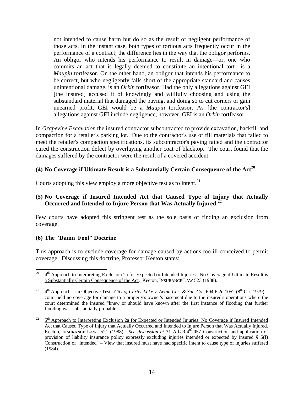not intended to cause harm but do so as the result of negligent performance of those acts. In the instant case, both types of tortious acts frequently occur in the performance of a contract; the difference lies in the way that the obligor performs. An obligor who intends his performance to result in damage—or, one who commits an act that is legally deemed to constitute an intentional tort—is a *Maupin* tortfeasor. On the other hand, an obligor that intends his performance to be correct, but who negligently falls short of the appropriate standard and causes unintentional damage, is an *Orkin* tortfeasor. Had the only allegations against GEI [the insured] accused it of knowingly and willfully choosing and using the substandard material that damaged the paving, and doing so to cut corners or gain unearned profit, GEI would be a *Maupin* tortfeasor. As [the contractor's] allegations against GEI include negligence, however, GEI is an *Orkin* tortfeasor.

In *Grapevine Excavation* the insured contractor subcontracted to provide excavation, backfill and compaction for a retailer's parking lot. Due to the contractor's use of fill materials that failed to meet the retailer's compaction specifications, its subcontractor's paving failed and the contractor cured the construction defect by overlaying another coat of blacktop. The court found that the damages suffered by the contractor were the result of a covered accident.

### **(4) No Coverage if Ultimate Result is a Substantially Certain Consequence of the Act<sup>20</sup>**

Courts adopting this view employ a more objective test as to intent. $21$ 

#### **(5) No Coverage if Insured Intended Act that Caused Type of Injury that Actually Occurred and Intended to Injure Person that Was Actually Injured.22**

Few courts have adopted this stringent test as the sole basis of finding an exclusion from coverage.

#### **(6) The "Damn Fool" Doctrine**

This approach is to exclude coverage for damage caused by actions too ill-conceived to permit coverage. Discussing this doctrine, Professor Keeton states:

<sup>20</sup> 4<sup>th</sup> Approach to Interpreting Exclusion 2a for Expected or Intended Injuries: No Coverage if Ultimate Result is a Substantially Certain Consequence of the Act. Keeton, INSURANCE LAW 523 (1988).

<sup>&</sup>lt;sup>21</sup>  $4<sup>th</sup>$  Approach – an Objective Test. *City of Carter Lake v. Aetna Cas. & Sur. Co.*, 604 F.2d 1052 ( $8<sup>th</sup>$  Cir. 1979) – court held no coverage for damage to a property's owner's basement due to the insured's operations where the court determined the insured "knew or should have known after the first instance of flooding that further flooding was 'substantially probable."

 $22 \frac{5^{\text{th}}}{\text{3}}$  Approach to Interpreting Exclusion 2a for Expected or Intended Injuries: No Coverage if Insured Intended Act that Caused Type of Injury that Actually Occurred and Intended to Injure Person that Was Actually Injured. Keeton, INSURANCE LAW 521 (1988). *See discussion at* 31 A.L.R.4<sup>th</sup> 957 Construction and application of provision of liability insurance policy expressly excluding injuries intended or expected by insured § 5(f) Construction of "intended" – View that insured must have had specific intent to cause type of injuries suffered (1984).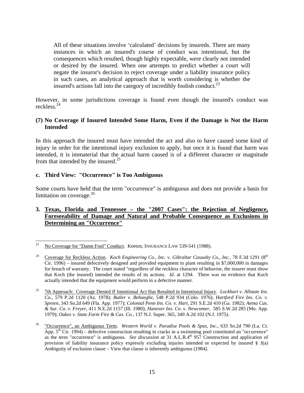All of these situations involve 'calculated' decisions by insureds. There are many instances in which an insured's course of conduct was intentional, but the consequences which resulted, though highly expectable, were clearly not intended or desired by the insured. When one attempts to predict whether a court will negate the insuror's decision to reject coverage under a liability insurance policy in such cases, an analytical approach that is worth considering is whether the insured's actions fall into the category of incredibly foolish conduct.<sup>23</sup>

However, in some jurisdictions coverage is found even though the insured's conduct was reckless.24

#### **(7) No Coverage if Insured Intended Some Harm, Even if the Damage is Not the Harm Intended**

In this approach the insured must have intended the act and also to have caused some kind of injury in order for the intentional injury exclusion to apply, but once it is found that harm was intended, it is immaterial that the actual harm caused is of a different character or magnitude from that intended by the insured. $^{25}$ 

#### **c. Third View: "Occurrence" is Too Ambiguous**

Some courts have held that the term "occurrence" is ambiguous and does not provide a basis for limitation on coverage. $26$ 

### **3. Texas, Florida and Tennessee – the "2007 Cases": the Rejection of Negligence, Foreseeability of Damage and Natural and Probable Consequence as Exclusions in Determining an "Occurrence"**

<sup>23</sup> 23 No Coverage for "Damn Fool" Conduct. Keeton, INSURANCE LAW 539-541 (1988).

<sup>&</sup>lt;sup>24</sup> Coverage for Reckless Action. *Koch Engineering Co., Inc. v. Gibraltar Casualty Co., Inc.*, 78 F.3d 1291 (8<sup>th</sup> Cir. 1996) – insured defectively designed and provided equipment to plant resulting in \$7,000,000 in damages for breach of warranty. The court stated "regardless of the reckless character of behavior, the insurer must show that Koch (the insured) intended the results of its actions. *Id.* at 1294. There was no evidence that Koch actually intended that the equipment would perform in a defective manner.

<sup>25 7</sup>th Approach: Coverage Denied If Intentional Act Has Resulted in Intentional Injury. *Lockhart v. Allstate Ins. Co.,* 579 P.2d 1120 (Az. 1978); *Butler v. Behaeghe*, 548 P.2d 934 (Colo. 1976); *Hartford Fire Ins. Co. v. Spreen*, 343 So.2d 649 (Fla. App. 1977); *Colonial Penn Ins. Co. v. Hart*, 291 S.E.2d 410 (Ga. 1982); *Aetna Cas. & Sur. Co. v. Freyer*, 411 N.E.2d 1157 (Ill. 1980); *Hanover Ins. Co. v. Newcomer,* 585 S.W.2d 285 (Mo. App. 1979); *Oakes v. State Farm Fire & Cas. Co.*, 137 N.J. Super. 365, 349 A.2d 102 (N.J. 1975).

<sup>26 &</sup>quot;Occurrence", an Ambiguous Term. *Western World v. Paradise Pools & Spas, Inc.*, 633 So.2d 790 (La. Ct. App.  $5<sup>th</sup>$  Cir. 1994) – defective construction resulting in cracks in a swimming pool constituted an "occurrence" as the term "occurrence" is ambiguous. *See discussion at* 31 A.L.R.4<sup>th</sup> 957 Construction and application of provision of liability insurance policy expressly excluding injuries intended or expected by insured § 3(a) Ambiguity of exclusion clause – View that clause is inherently ambiguous (1984).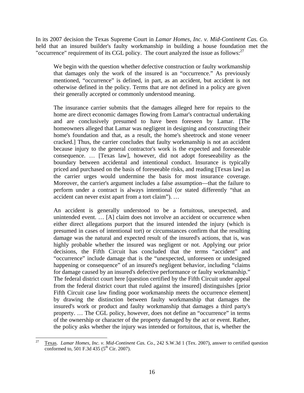In its 2007 decision the Texas Supreme Court in *Lamar Homes, Inc. v. Mid-Continent Cas. Co.* held that an insured builder's faulty workmanship in building a house foundation met the "occurrence" requirement of its CGL policy. The court analyzed the issue as follows: $27$ 

We begin with the question whether defective construction or faulty workmanship that damages only the work of the insured is an "occurrence." As previously mentioned, "occurrence" is defined, in part, as an accident, but accident is not otherwise defined in the policy. Terms that are not defined in a policy are given their generally accepted or commonly understood meaning.

The insurance carrier submits that the damages alleged here for repairs to the home are direct economic damages flowing from Lamar's contractual undertaking and are conclusively presumed to have been foreseen by Lamar. [The homeowners alleged that Lamar was negligent in designing and constructing their home's foundation and that, as a result, the home's sheetrock and stone veneer cracked.] Thus, the carrier concludes that faulty workmanship is not an accident because injury to the general contractor's work is the expected and foreseeable consequence. … [Texas law], however, did not adopt foreseeability as the boundary between accidental and intentional conduct. Insurance is typically priced and purchased on the basis of foreseeable risks, and reading [Texas law] as the carrier urges would undermine the basis for most insurance coverage. Moreover, the carrier's argument includes a false assumption—that the failure to perform under a contract is always intentional (or stated differently "that an accident can never exist apart from a tort claim"). …

An accident is generally understood to be a fortuitous, unexpected, and unintended event. … [A] claim does not involve an accident or occurrence when either direct allegations purport that the insured intended the injury (which is presumed in cases of intentional tort) or circumstances confirm that the resulting damage was the natural and expected result of the insured's actions, that is, was highly probable whether the insured was negligent or not. Applying our prior decisions, the Fifth Circuit has concluded that the terms "accident" and "occurrence" include damage that is the "unexpected, unforeseen or undesigned happening or consequence" of an insured's negligent behavior, including "claims for damage caused by an insured's defective performance or faulty workmanship." The federal district court here [question certified by the Fifth Circuit under appeal from the federal district court that ruled against the insured] distinguishes [prior Fifth Circuit case law finding poor workmanship meets the occurrence element] by drawing the distinction between faulty workmanship that damages the insured's work or product and faulty workmanship that damages a third party's property. … The CGL policy, however, does not define an "occurrence" in terms of the ownership or character of the property damaged by the act or event. Rather, the policy asks whether the injury was intended or fortuitous, that is, whether the

 $27$ 27 Texas. *Lamar Homes, Inc. v. Mid-Continent Cas. Co.*, 242 S.W.3d 1 (Tex. 2007), answer to certified question conformed to, 501 F.3d 435 ( $5^{th}$  Cir. 2007).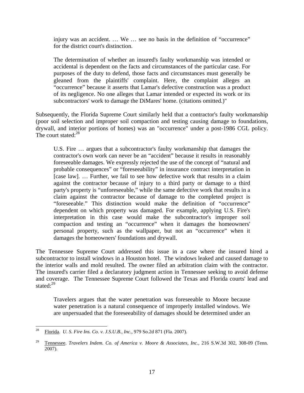injury was an accident. … We … see no basis in the definition of "occurrence" for the district court's distinction.

The determination of whether an insured's faulty workmanship was intended or accidental is dependent on the facts and circumstances of the particular case. For purposes of the duty to defend, those facts and circumstances must generally be gleaned from the plaintiffs' complaint. Here, the complaint alleges an "occurrence" because it asserts that Lamar's defective construction was a product of its negligence. No one alleges that Lamar intended or expected its work or its subcontractors' work to damage the DiMares' home. (citations omitted.)"

Subsequently, the Florida Supreme Court similarly held that a contractor's faulty workmanship (poor soil selection and improper soil compaction and testing causing damage to foundations, drywall, and interior portions of homes) was an "occurrence" under a post-1986 CGL policy. The court stated: $^{28}$ 

U.S. Fire … argues that a subcontractor's faulty workmanship that damages the contractor's own work can never be an "accident" because it results in reasonably foreseeable damages. We expressly rejected the use of the concept of "natural and probable consequences" or "foreseeability" in insurance contract interpretation in [case law]. ... Further, we fail to see how defective work that results in a claim against the contractor because of injury to a third party or damage to a third party's property is "unforeseeable," while the same defective work that results in a claim against the contractor because of damage to the completed project is "foreseeable." This distinction would make the definition of "occurrence" dependent on which property was damaged. For example, applying U.S. Fire's interpretation in this case would make the subcontractor's improper soil compaction and testing an "occurrence" when it damages the homeowners' personal property, such as the wallpaper, but not an "occurrence" when it damages the homeowners' foundations and drywall.

The Tennessee Supreme Court addressed this issue in a case where the insured hired a subcontractor to install windows in a Houston hotel. The windows leaked and caused damage to the interior walls and mold resulted. The owner filed an arbitration claim with the contractor. The insured's carrier filed a declaratory judgment action in Tennessee seeking to avoid defense and coverage. The Tennessee Supreme Court followed the Texas and Florida courts' lead and stated:<sup>29</sup>

Travelers argues that the water penetration was foreseeable to Moore because water penetration is a natural consequence of improperly installed windows. We are unpersuaded that the foreseeability of damages should be determined under an

<sup>28</sup> 28 Florida. *U. S. Fire Ins. Co. v. J.S.U.B., Inc.*, 979 So.2d 871 (Fla. 2007).

<sup>&</sup>lt;sup>29</sup> Tennessee. *Travelers Indem. Co. of America v. Moore & Associates, Inc., 216 S.W.3d 302, 308-09 (Tenn.* 2007).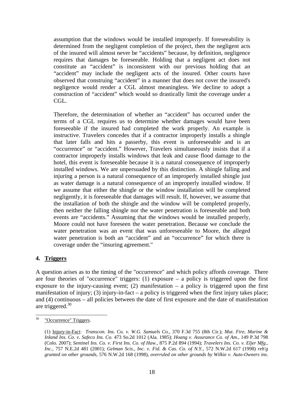assumption that the windows would be installed improperly. If foreseeability is determined from the negligent completion of the project, then the negligent acts of the insured will almost never be "accidents" because, by definition, negligence requires that damages be foreseeable. Holding that a negligent act does not constitute an "accident" is inconsistent with our previous holding that an "accident" may include the negligent acts of the insured. Other courts have observed that construing "accident" in a manner that does not cover the insured's negligence would render a CGL almost meaningless. We decline to adopt a construction of "accident" which would so drastically limit the coverage under a CGL.

Therefore, the determination of whether an "accident" has occurred under the terms of a CGL requires us to determine whether damages would have been foreseeable if the insured had completed the work properly. An example is instructive. Travelers concedes that if a contractor improperly installs a shingle that later falls and hits a passerby, this event is unforeseeable and is an "occurrence" or "accident." However, Travelers simultaneously insists that if a contractor improperly installs windows that leak and cause flood damage to the hotel, this event is foreseeable because it is a natural consequence of improperly installed windows. We are unpersuaded by this distinction. A shingle falling and injuring a person is a natural consequence of an improperly installed shingle just as water damage is a natural consequence of an improperly installed window. If we assume that either the shingle or the window installation will be completed negligently, it is foreseeable that damages will result. If, however, we assume that the installation of both the shingle and the window will be completed properly, then neither the falling shingle nor the water penetration is foreseeable and both events are "accidents." Assuming that the windows would be installed properly, Moore could not have foreseen the water penetration. Because we conclude the water penetration was an event that was unforeseeable to Moore, the alleged water penetration is both an "accident" and an "occurrence" for which there is coverage under the "insuring agreement."

# **4. Triggers**

A question arises as to the timing of the "occurrence" and which policy affords coverage. There are four theories of "occurrence" triggers: (1) exposure  $-$  a policy is triggered upon the first exposure to the injury-causing event; (2) manifestation  $-$  a policy is triggered upon the first manifestation of injury; (3) injury-in-fact – a policy is triggered when the first injury takes place; and (4) continuous – all policies between the date of first exposure and the date of manifestation are triggered. $30$ 

 $30\,$ "Occurrence" Triggers.

<sup>(1)</sup> Injury-in-Fact: *Transcon. Ins. Co. v. W.G. Samuels Co.*, 370 F.3d 755 (8th Cir.); *Mut. Fire, Marine & Inland Ins. Co. v. Safeco Ins. Co.* 473 So.2d 1012 (Ala. 1985); *Hoang v. Assurance Co. of Am.,* 149 P.3d 798 (Colo. 2007); *Sentinel Ins. Co. v. First Ins. Co. of Haw.*, 875 P.2d 894 (1994); *Travelers Ins. Co. v. Eljer Mfg., Inc.,* 757 N.E.2d 481 (2001); *Gelman Scis., Inc. v. Fid. & Cas. Co. of N.Y.*, 572 N.W.2d 617 (1998) *reh'g granted on other grounds,* 576 N.W.2d 168 (1998), *overruled on other grounds by Wilkie v. Auto-Owners ins.*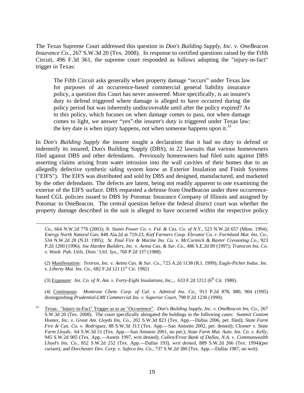The Texas Supreme Court addressed this question in *Don's Building Supply, Inc. v. OneBeacon Insurance Co.*, 267 S.W.3d 20 (Tex. 2008). In response to certified questions raised by the Fifth Circuit, 496 F.3d 361, the supreme court responded as follows adopting the "injury-in-fact" trigger in Texas:

The Fifth Circuit asks generally when property damage "occurs" under Texas law for purposes of an occurrence-based commercial general liability insurance policy, a question this Court has never answered. More specifically, is an insurer's duty to defend triggered where damage is alleged to have occurred during the policy period but was inherently undiscoverable until after the policy expired? As to this policy, which focuses on when damage comes to pass, not when damage comes to light, we answer "yes"-the insurer's duty is triggered under Texas law; the key date is when injury happens, not when someone happens upon it.<sup>31</sup>

In *Don's Building Supply* the insurer sought a declaration that it had no duty to defend or indemnify its insured, Don's Building Supply (DBS), in 22 lawsuits that various homeowners filed against DBS and other defendants. Previously homeowners had filed suits against DBS asserting claims arising from water intrusion into the wall cavities of their homes due to an allegedly defective synthetic siding system know as Exterior Insulation and Finish Systems ("EIFS"). The EIFS was distributed and sold by DBS and designed, manufactured, and marketed by the other defendants. The defects are latent, being not readily apparent to one examining the exterior of the EIFS surface. DBS requested a defense from OneBeacon under three occurrencebased CGL policies issued to DBS by Potomac Insurance Company of Illinois and assigned by Potomac to OneBeacon. The central question before the federal district court was whether the property damage described in the suit is alleged to have occurred within the respective policy

*Co.,* 664 N.W.2d 776 (2003); *N. States Power Co. v. Fid. & Cas. Co. of N.Y.*, 523 N.W.2d 657 (Minn. 1994); *Energy North Natural Gas*, 848 Ala.2d at 719-23; *Kief Farmers Coop. Elevator Co. v. Farmland Mut. Ins. Co.*, 534 N.W.2d 28 (N.D. 1995); *St. Paul Fire & Marine Ins. Co. v. McCormick & Baxter Creosoting Co.,* 923 P.2d 1200 (1996); *Joe Harden Builders, Inc. v. Aetna Cas. & Sur. Co.,* 486 S.E.2d 89 (1997); *Transcon Ins. Co. v. Wash. Pub. Utils. Dists.' Util. Sys.*, 760 P.2d 337 (1988).

(2) Manifestation: *Textron, Inc. v. Aetna Cas. & Sur. Co.*, 723 A.2d 1138 (R.I. 1999); *Eagle-Picher Indus. Inc. v. Liberty Mut. Ins. Co.,* 682 F.2d 121 (1<sup>st</sup> Cir. 1982)

(3) Exposure: *Ins. Co. of N. Am. v. Forty-Eight Insulations, Inc.*,, 633 F.2d 1212 (6<sup>th</sup> Cir. 1980).

 $\overline{\phantom{a}}$ 

(4) Continuous: *Montrose Chem. Corp. of Cal. v. Admiral Ins. Co.*, 913 P.2d 878, 880, 904 (1995) distinguishing *Prudential-LMI Commercial Ins. v. Superior Court*, 798 P.2d 1230 (1990).

31 Texas: "Injury-in-Fact" Trigger as to an "Occurrence". *Don's Building Supply, Inc. v. OneBeacon Ins. Co.*, 267 S.W.3d 20 (Tex. 2008). The court specifically abrogated the holdings in the following cases: *Summit Custom Homes, Inc. v. Great Am. Lloyds Ins. Co.,* 202 S.W.3d 823 (Tex. App.—Dallas 2006, pet. filed); *State Farm Fire & Cas. Co. v. Rodriguez,* 88 S.W.3d 313 (Tex. App.—San Antonio 2002, pet. denied); *Closner v. State Farm Lloyds,* 64 S.W.3d 51 (Tex. App.—San Antonio 2001, no pet.); *State Farm Mut. Auto. Ins. Co. v. Kelly*, 945 S.W.2d 905 (Tex. App.—Austin 1997, writ denied); *Cullen/Frost Bank of Dallas, N.A. v. Commonwealth Lloyd's Ins. Co.*, 852 S.W.2d 252 (Tex. App.—Dallas 193), *writ denied*, 889 S.W.2d 266 (Tex. 1994)(per curiam); and *Dorchester Dev. Corp. v. Safeco Ins. Co.,* 737 S.W.2d 380 (Tex. App.—Dallas 1987, no writ).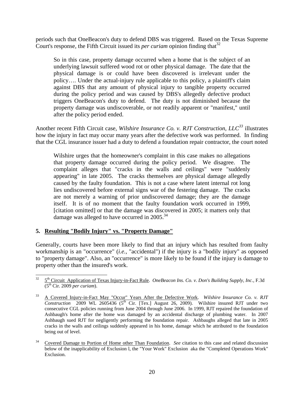periods such that OneBeacon's duty to defend DBS was triggered. Based on the Texas Supreme Court's response, the Fifth Circuit issued its *per curiam* opinion finding that<sup>32</sup>

So in this case, property damage occurred when a home that is the subject of an underlying lawsuit suffered wood rot or other physical damage. The date that the physical damage is or could have been discovered is irrelevant under the policy…. Under the actual-injury rule applicable to this policy, a plaintiff's claim against DBS that any amount of physical injury to tangible property occurred during the policy period and was caused by DBS's allegedly defective product triggers OneBeacon's duty to defend. The duty is not diminished because the property damage was undiscoverable, or not readily apparent or "manifest," until after the policy period ended.

Another recent Fifth Circuit case, *Wilshire Insurance Co. v. RJT Construction, LLC*<sup>33</sup> illustrates how the injury in fact may occur many years after the defective work was performed. In finding that the CGL insurance issuer had a duty to defend a foundation repair contractor, the court noted

Wilshire urges that the homeowner's complaint in this case makes no allegations that property damage occurred during the policy period. We disagree. The complaint alleges that "cracks in the walls and ceilings" were "suddenly appearing" in late 2005. The cracks themselves are physical damage allegedly caused by the faulty foundation. This is not a case where latent internal rot long lies undiscovered before external signs war of the festering damage. The cracks are not merely a warning of prior undiscovered damage; they are the damage itself. It is of no moment that the faulty foundation work occurred in 1999, [citation omitted] or that the damage was discovered in 2005; it matters only that damage was alleged to have occurred in  $2005.^{34}$ 

# **5. Resulting "Bodily Injury" vs. "Property Damage"**

Generally, courts have been more likely to find that an injury which has resulted from faulty workmanship is an "occurrence" (*i.e.*, "accidental") if the injury is a "bodily injury" as opposed to "property damage". Also, an "occurrence" is more likely to be found if the injury is damage to property other than the insured's work.

 $32\,$ 5<sup>th</sup> Circuit Application of Texas Injury-in-Fact Rule. *OneBeacon Ins. Co. v. Don's Building Supply, Inc.*, F.3d (5th Cir. 2009 *per curiam*).

<sup>33</sup> A Covered Injury-in-Fact May "Occur" Years After the Defective Work. *Wilshire Insurance Co. v. RJT*  Construction 2009 WL 2605436 (5<sup>th</sup> Cir. [Tex.] August 26, 2009). Wilshire insured RJT under two consecutive CGL policies running from June 2004 through June 2006. In 1999, RJT repaired the foundation of Ashbaugh's home after the home was damaged by an accidental discharge of plumbing water. In 2007 Ashbaugh sued RJT for negligently performing the foundation repair. Ashbaughs alleged that late in 2005 cracks in the walls and ceilings suddenly appeared in his home, damage which he attributed to the foundation being out of level.

<sup>34</sup> Covered Damage to Portion of Home other Than Foundation. *See* citation to this case and related discussion below of the inapplicability of Exclusion l, the "Your Work" Exclusion aka the "Completed Operations Work" Exclusion.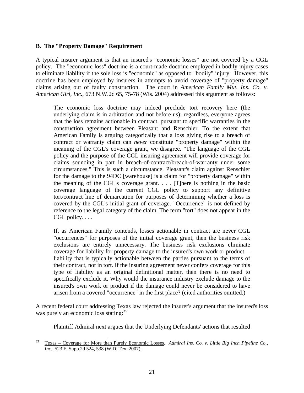#### **B. The "Property Damage" Requirement**

A typical insurer argument is that an insured's "economic losses" are not covered by a CGL policy. The "economic loss" doctrine is a court-made doctrine employed in bodily injury cases to eliminate liability if the sole loss is "economic" as opposed to "bodily" injury. However, this doctrine has been employed by insurers in attempts to avoid coverage of "property damage" claims arising out of faulty construction. The court in *American Family Mut. Ins. Co. v. American Girl, Inc.*, 673 N.W.2d 65, 75-78 (Wis. 2004) addressed this argument as follows:

The economic loss doctrine may indeed preclude tort recovery here (the underlying claim is in arbitration and not before us); regardless, everyone agrees that the loss remains actionable in contract, pursuant to specific warranties in the construction agreement between Pleasant and Renschler. To the extent that American Family is arguing categorically that a loss giving rise to a breach of contract or warranty claim can *never* constitute "property damage" within the meaning of the CGL's coverage grant, we disagree. "The language of the CGL policy and the purpose of the CGL insuring agreement will provide coverage for claims sounding in part in breach-of-contract/breach-of-warranty under some circumstances." This is such a circumstance. Pleasant's claim against Renschler for the damage to the 94DC [warehouse] is a claim for "property damage" within the meaning of the CGL's coverage grant. . . . [T]here is nothing in the basic coverage language of the current CGL policy to support any definitive tort/contract line of demarcation for purposes of determining whether a loss is covered by the CGL's initial grant of coverage. "Occurrence" is not defined by reference to the legal category of the claim. The term "tort" does not appear in the CGL policy....

If, as American Family contends, losses actionable in contract are never CGL "occurrences" for purposes of the initial coverage grant, then the business risk exclusions are entirely unnecessary. The business risk exclusions eliminate coverage for liability for property damage to the insured's own work or product liability that is typically actionable between the parties pursuant to the terms of their contract, not in tort. If the insuring agreement never confers coverage for this type of liability as an original definitional matter, then there is no need to specifically exclude it. Why would the insurance industry exclude damage to the insured's own work or product if the damage could never be considered to have arisen from a covered "occurrence" in the first place? (cited authorities omitted.)

A recent federal court addressing Texas law rejected the insurer's argument that the insured's loss was purely an economic loss stating:<sup>35</sup>

Plaintiff Admiral next argues that the Underlying Defendants' actions that resulted

 $35$ 35 Texas – Coverage for More than Purely Economic Losses. *Admiral Ins. Co. v. Little Big Inch Pipeline Co., Inc.,* 523 F. Supp.2d 524, 538 (W.D. Tex. 2007).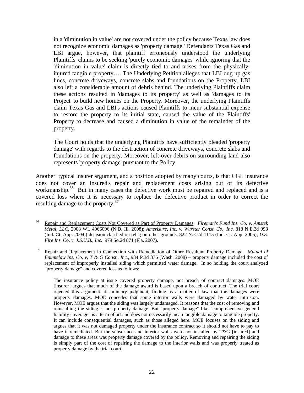in a 'diminution in value' are not covered under the policy because Texas law does not recognize economic damages as 'property damage.' Defendants Texas Gas and LBI argue, however, that plaintiff erroneously understood the underlying Plaintiffs' claims to be seeking 'purely economic damages' while ignoring that the 'diminution in value' claim is directly tied to and arises from the physicallyinjured tangible property…. The Underlying Petition alleges that LBI dug up gas lines, concrete driveways, concrete slabs and foundations on the Property. LBI also left a considerable amount of debris behind. The underlying Plaintiffs claim these actions resulted in 'damages to its property' as well as 'damages to its Project' to build new homes on the Property. Moreover, the underlying Plaintiffs claim Texas Gas and LBI's actions caused Plaintiffs to incur substantial expense to restore the property to its initial state, caused the value of the Plaintiffs' Property to decrease and caused a diminution in value of the remainder of the property.

The Court holds that the underlying Plaintiffs have sufficiently pleaded 'property damage' with regards to the destruction of concrete driveways, concrete slabs and foundations on the property. Moreover, left-over debris on surrounding land also represents 'property damage' pursuant to the Policy.

Another typical insurer argument, and a position adopted by many courts, is that CGL insurance does not cover an insured's repair and replacement costs arising out of its defective workmanship.<sup>36</sup> But in many cases the defective work must be repaired and replaced and is a covered loss where it is necessary to replace the defective product in order to correct the resulting damage to the property.<sup>37</sup>

 $36$ 36 Repair and Replacement Costs Not Covered as Part of Property Damages. *Fireman's Fund Ins. Co. v. Amstek Metal, LLC,* 2008 WL 4066096 (N.D. Ill. 2008); *Amerisure, Inc. v. Wurster Const. Co., Inc.* 818 N.E.2d 998 (Ind. Ct. App. 2004,) decision clarified on reh'g on other grounds, 822 N.E.2d 1115 (Ind. Ct. App. 2005); *U.S. Fire Ins. Co. v. J.S.U.B., Inc.* 979 So.2d 871 (Fla. 2007).

<sup>37</sup> Repair and Replacement in Connection with Remediation of Other Resultant Property Damage. *Mutual of Enumclaw Ins. Co. v. T & G Const., Inc.*, 984 P.3d 376 (Wash. 2008) – property damage included the cost of replacement of improperly installed siding which permitted water damage. In so holding the court analyzed "property damage" and covered loss as follows:

The insurance policy at issue covered property damage, not breach of contract damages. MOE [insurer] argues that much of the damage award is based upon a breach of contract. The trial court rejected this argument at summary judgment, finding as a matter of law that the damages were property damages. MOE concedes that some interior walls were damaged by water intrusion. However, MOE argues that the siding was largely undamaged. It reasons that the cost of removing and reinstalling the siding is not property damage. But "property damage" like "comprehensive general liability coverage" is a term of art and does not necessarily mean tangible damage to tangible property. It can include consequential damages, such as those alleged here. MOE focuses on the siding and argues that it was not damaged property under the insurance contract so it should not have to pay to have it remediated. But the subsurface and interior walls were not installed by T&G [insured] and damage to these areas was property damage covered by the policy. Removing and repairing the siding is simply part of the cost of repairing the damage to the interior walls and was properly treated as property damage by the trial court.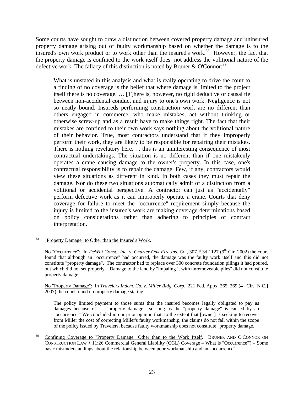Some courts have sought to draw a distinction between covered property damage and uninsured property damage arising out of faulty workmanship based on whether the damage is to the insured's own work product or to work other than the insured's work.<sup>38</sup> However, the fact that the property damage is confined to the work itself does not address the volitional nature of the defective work. The fallacy of this distinction is noted by Bruner & O'Connor:<sup>39</sup>

What is unstated in this analysis and what is really operating to drive the court to a finding of no coverage is the belief that where damage is limited to the project itself there is no coverage. … [T]here is, however, no rigid deductive or causal tie between non-accidental conduct and injury to one's own work. Negligence is not so neatly bound. Insureds performing construction work are no different than others engaged in commerce, who make mistakes, act without thinking or otherwise screw-up and as a result have to make things right. The fact that their mistakes are confined to their own work says nothing about the volitional nature of their behavior. True, most contractors understand that if they improperly perform their work, they are likely to be responsible for repairing their mistakes. There is nothing revelatory here. . . this is an uninteresting consequence of most contractual undertakings. The situation is no different than if one mistakenly operates a crane causing damage to the owner's property. In this case, one's contractual responsibility is to repair the damage. Few, if any, contractors would view these situations as different in kind. In both cases they must repair the damage. Nor do these two situations automatically admit of a distinction from a volitional or accidental perspective. A contractor can just as "accidentally" perform defective work as it can improperly operate a crane. Courts that deny coverage for failure to meet the "occurrence" requirement simply because the injury is limited to the insured's work are making coverage determinations based on policy considerations rather than adhering to principles of contract interpretation.

No "Property Damage": In *Travelers Indem. Co. v. Miller Bldg. Corp.*, 221 Fed. Appx. 265, 269 (4<sup>th</sup> Cir. [N.C.] 2007) the court found no property damage stating

The policy limited payment to those sums that the insured becomes legally obligated to pay as damages because of … "property damage," so long as the "property damage" is caused by an "occurrence." We concluded in our prior opinion that, to the extent that [owner] is seeking to recover from Miller the cost of correcting Miller's faulty workmanship, the claims do not fall within the scope of the policy issued by Travelers, because faulty workmanship does not constitute "property damage.

<sup>38</sup> "Property Damage" to Other than the Insured's Work.

No "Occurrence": In *DeWitt Const., Inc. v. Charter Oak Fire Ins. Co.*, 307 F.3d 1127 (9<sup>th</sup> Cir. 2002) the court found that although an "occurrence" had occurred, the damage was the faulty work itself and this did not constitute "property damage". The contractor had to replace over 300 concrete foundation pilings it had poured, but which did not set properly. Damage to the land by "impaling it with unremoveable piles" did not constitute property damage.

<sup>&</sup>lt;sup>39</sup> Confining Coverage to "Property Damage" Other than to the Work Itself. BRUNER AND O'CONNOR ON CONSTRUCTION LAW § 11:26 Commercial General Liability (CGL) Coverage – What is "Occurrence"? – Some basic misunderstandings about the relationship between poor workmanship and an "occurrence".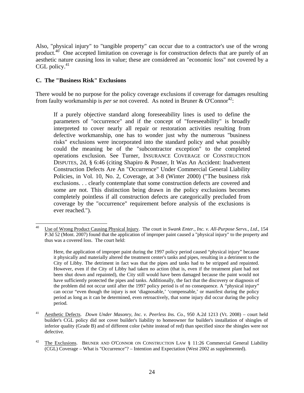Also, "physical injury" to "tangible property" can occur due to a contractor's use of the wrong product.<sup>40</sup> One accepted limitation on coverage is for construction defects that are purely of an aesthetic nature causing loss in value; these are considered an "economic loss" not covered by a CGL policy. $41$ 

# **C. The "Business Risk" Exclusions**

There would be no purpose for the policy coverage exclusions if coverage for damages resulting from faulty workmanship is *per se* not covered. As noted in Bruner & O'Connor<sup>42</sup>:

If a purely objective standard along foreseeability lines is used to define the parameters of "occurrence" and if the concept of "foreseeability" is broadly interpreted to cover nearly all repair or restoration activities resulting from defective workmanship, one has to wonder just why the numerous "business risks" exclusions were incorporated into the standard policy and what possibly could the meaning be of the "subcontractor exception" to the completed operations exclusion. See Turner, INSURANCE COVERAGE OF CONSTRUCTION DISPUTES, 2d, § 6:46 (citing Shapiro & Posner, It Was An Accident: Inadvertent Construction Defects Are An "Occurrence" Under Commercial General Liability Policies, in Vol. 10, No. 2, Coverage, at 3-8 (Winter 2000) ("The business risk exclusions. . . clearly contemplate that some construction defects are covered and some are not. This distinction being drawn in the policy exclusions becomes completely pointless if all construction defects are categorically precluded from coverage by the "occurrence" requirement before analysis of the exclusions is ever reached.").

 $\overline{\phantom{a}}$ 40 Use of Wrong Product Causing Physical Injury. The court in *Swank Enter., Inc. v. All-Purpose Servs., Ltd.*, 154 P.3d 52 (Mont. 2007) found that the application of improper paint caused a "physical injury" to the property and thus was a covered loss. The court held:

Here, the application of improper paint during the 1997 policy period caused "physical injury" because it physically and materially altered the treatment center's tanks and pipes, resulting in a detriment to the City of Libby. The detriment in fact was that the pipes and tanks had to be stripped and repainted. However, even if the City of Libby had taken no action (that is, even if the treatment plant had not been shut down and repainted), the City still would have been damaged because the paint would not have sufficiently protected the pipes and tanks. Additionally, the fact that the discovery or diagnosis of the problem did not occur until after the 1997 policy period is of no consequence. A "physical injury" can occur "even though the injury is not 'diagnosable,' 'compensable,' or manifest during the policy period as long as it can be determined, even retroactively, that some injury did occur during the policy period.

<sup>41</sup> Aesthetic Defects. *Down Under Masonry, Inc. v. Peerless Ins. Co.,* 950 A.2d 1213 (Vt. 2008) – court held builder's CGL policy did not cover builder's liability to homeowner for builder's installation of shingles of inferior quality (Grade B) and of different color (white instead of red) than specified since the shingles were not defective.

<sup>&</sup>lt;sup>42</sup> The Exclusions. BRUNER AND O'CONNOR ON CONSTRUCTION LAW  $\S$  11:26 Commercial General Liability (CGL) Coverage – What is "Occurrence"? – Intention and Expectation (West 2002 as supplemented).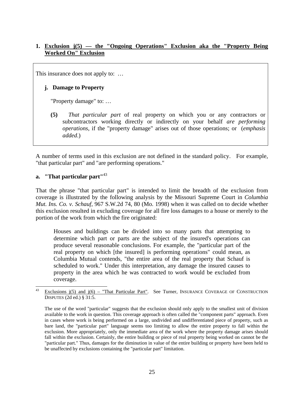# **1. Exclusion j(5) — the "Ongoing Operations" Exclusion aka the "Property Being Worked On" Exclusion**

This insurance does not apply to: ...

# **j. Damage to Property**

"Property damage" to: …

**(5)** *That particular part* of real property on which you or any contractors or subcontractors working directly or indirectly on your behalf *are performing operations*, if the "property damage" arises out of those operations; or (*emphasis added*.)

A number of terms used in this exclusion are not defined in the standard policy. For example, "that particular part" and "are performing operations."

#### **a. "That particular part"**<sup>43</sup>

That the phrase "that particular part" is intended to limit the breadth of the exclusion from coverage is illustrated by the following analysis by the Missouri Supreme Court in *Columbia Mut. Ins. Co. v. Schauf,* 967 S.W.2d 74, 80 (Mo. 1998) when it was called on to decide whether this exclusion resulted in excluding coverage for all fire loss damages to a house or merely to the portion of the work from which the fire originated:

Houses and buildings can be divided into so many parts that attempting to determine which part or parts are the subject of the insured's operations can produce several reasonable conclusions. For example, the "particular part of the real property on which [the insured] is performing operations" could mean, as Columbia Mutual contends, "the entire area of the real property that Schauf is scheduled to work." Under this interpretation, any damage the insured causes to property in the area which he was contracted to work would be excluded from coverage.

<sup>43</sup> Exclusions j(5) and j(6) – "That Particular Part". See Turner, INSURANCE COVERAGE OF CONSTRUCTION DISPUTES (2d ed.) § 31:5.

The use of the word "particular" suggests that the exclusion should only apply to the smallest unit of division available to the work in question. This coverage approach is often called the "component parts" approach. Even in cases where work is being performed on a large, undivided and undifferentiated piece of property, such as bare land, the "particular part" language seems too limiting to allow the entire property to fall within the exclusion. More appropriately, only the immediate area of the work where the property damage arises should fall within the exclusion. Certainly, the entire building or piece of real property being worked on cannot be the "particular part." Thus, damages for the diminution in value of the entire building or property have been held to be unaffected by exclusions containing the "particular part" limitation.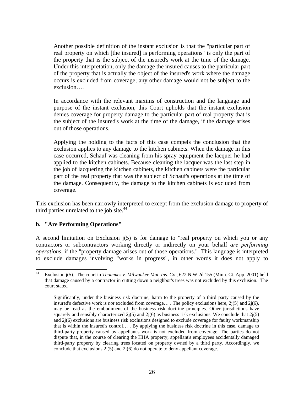Another possible definition of the instant exclusion is that the "particular part of real property on which [the insured] is performing operations" is only the part of the property that is the subject of the insured's work at the time of the damage. Under this interpretation, only the damage the insured causes to the particular part of the property that is actually the object of the insured's work where the damage occurs is excluded from coverage; any other damage would not be subject to the exclusion….

In accordance with the relevant maxims of construction and the language and purpose of the instant exclusion, this Court upholds that the instant exclusion denies coverage for property damage to the particular part of real property that is the subject of the insured's work at the time of the damage, if the damage arises out of those operations.

Applying the holding to the facts of this case compels the conclusion that the exclusion applies to any damage to the kitchen cabinets. When the damage in this case occurred, Schauf was cleaning from his spray equipment the lacquer he had applied to the kitchen cabinets. Because cleaning the lacquer was the last step in the job of lacquering the kitchen cabinets, the kitchen cabinets were the particular part of the real property that was the subject of Schauf's operations at the time of the damage. Consequently, the damage to the kitchen cabinets is excluded from coverage.

This exclusion has been narrowly interpreted to except from the exclusion damage to property of third parties unrelated to the job site. $44$ 

# **b. "Are Performing Operations"**

A second limitation on Exclusion  $(i5)$  is for damage to "real property on which you or any contractors or subcontractors working directly or indirectly on your behalf *are performing operations*, if the "property damage arises out of those operations." This language is interpreted to exclude damages involving "works in progress", in other words it does not apply to

 $44$ Exclusion j(5). The court in *Thommes v. Milwaukee Mut. Ins. Co.*, 622 N.W.2d 155 (Minn. Ct. App. 2001) held that damage caused by a contractor in cutting down a neighbor's trees was not excluded by this exclusion. The court stated

Significantly, under the business risk doctrine, harm to the property of a third party caused by the insured's defective work is *not* excluded from coverage… . The policy exclusions here, 2j(5) and 2j(6), may be read as the embodiment of the business risk doctrine principles. Other jurisdictions have squarely and sensibly characterized  $2j(5)$  and  $2j(6)$  as business risk exclusions. We conclude that  $2j(5)$ and 2j(6) exclusions are business risk exclusions designed to exclude coverage for faulty workmanship that is within the insured's control… . By applying the business risk doctrine in this case, damage to third-party property caused by appellant's work is not excluded from coverage. The parties do not dispute that, in the course of clearing the HHA property, appellant's employees accidentally damaged third-party property by clearing trees located on property owned by a third party. Accordingly, we conclude that exclusions  $2j(5)$  and  $2j(6)$  do not operate to deny appellant coverage.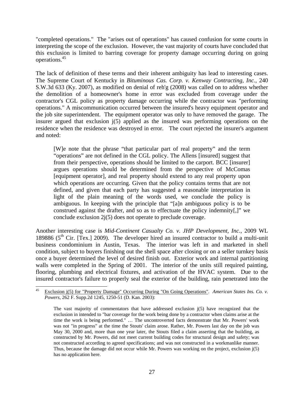"completed operations." The "arises out of operations" has caused confusion for some courts in interpreting the scope of the exclusion. However, the vast majority of courts have concluded that this exclusion is limited to barring coverage for property damage occurring during on going operations.45

The lack of definition of these terms and their inherent ambiguity has lead to interesting cases. The Supreme Court of Kentucky in *Bituminous Cas. Corp. v. Kenway Contracting, Inc.*, 240 S.W.3d 633 (Ky. 2007), as modified on denial of reh'g (2008) was called on to address whether the demolition of a homeowner's home in error was excluded from coverage under the contractor's CGL policy as property damage occurring while the contractor was "performing operations." A miscommunication occurred between the insured's heavy equipment operator and the job site superintendent. The equipment operator was only to have removed the garage. The insurer argued that exclusion j(5) applied as the insured was performing operations on the residence when the residence was destroyed in error. The court rejected the insurer's argument and noted:

[W]e note that the phrase "that particular part of real property" and the term "operations" are not defined in the CGL policy. The Allens [insured] suggest that from their perspective, operations should be limited to the carport. BCC [insurer] argues operations should be determined from the perspective of McComas [equipment operator], and real property should extend to any real property upon which operations are occurring. Given that the policy contains terms that are not defined, and given that each party has suggested a reasonable interpretation in light of the plain meaning of the words used, we conclude the policy is ambiguous. In keeping with the principle that "[a]n ambiguous policy is to be construed against the drafter, and so as to effectuate the policy indemnity[,]" we conclude exclusion 2j(5) does not operate to preclude coverage.

Another interesting case is *Mid-Continent Casualty Co. v. JHP Development, Inc.*, 2009 WL 189886 ( $5<sup>th</sup>$  Cir. [Tex.] 2009). The developer hired an insured contractor to build a multi-unit business condominium in Austin, Texas. The interior was left in and marketed in shell condition, subject to buyers finishing out the shell space after closing or on a seller turnkey basis once a buyer determined the level of desired finish out. Exterior work and internal partitioning walls were completed in the Spring of 2001. The interior of the units still required painting, flooring, plumbing and electrical fixtures, and activation of the HVAC system. Due to the insured contractor's failure to properly seal the exterior of the building, rain penetrated into the

 $45\,$ 45 Exclusion j(5) for "Property Damage" Occurring During "On Going Operations". *American States Ins. Co. v. Powers,* 262 F. Supp.2d 1245, 1250-51 (D. Kan. 2003):

The vast majority of commentators that have addressed exclusion  $j(5)$  have recognized that the exclusion in intended to "bar coverage for the work being done by a contractor when claims arise at the time the work is being performed." … The uncontroverted facts demonstrate that Mr. Powers' work was not "in progress" at the time the Stouts' claim arose. Rather, Mr. Powers last day on the job was May 30, 2000 and, more than one year later, the Stouts filed a claim asserting that the building, as constructed by Mr. Powers, did not meet current building codes for structural design and safety; was not constructed according to agreed specifications; and was not constructed in a workmanlike manner. Thus, because the damage did not occur while Mr. Powers was working on the project, exclusion j(5) has no application here.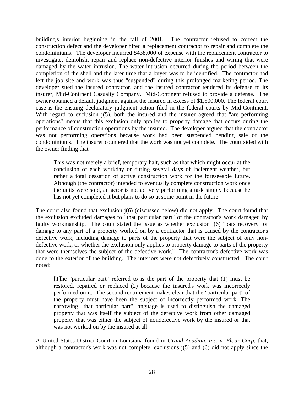building's interior beginning in the fall of 2001. The contractor refused to correct the construction defect and the developer hired a replacement contractor to repair and complete the condominiums. The developer incurred \$438,000 of expense with the replacement contractor to investigate, demolish, repair and replace non-defective interior finishes and wiring that were damaged by the water intrusion. The water intrusion occurred during the period between the completion of the shell and the later time that a buyer was to be identified. The contractor had left the job site and work was thus "suspended" during this prolonged marketing period. The developer sued the insured contractor, and the insured contractor tendered its defense to its insurer, Mid-Continent Casualty Company. Mid-Continent refused to provide a defense. The owner obtained a default judgment against the insured in excess of \$1,500,000. The federal court case is the ensuing declaratory judgment action filed in the federal courts by Mid-Continent. With regard to exclusion  $j(5)$ , both the insured and the insurer agreed that "are performing operations" means that this exclusion only applies to property damage that occurs during the performance of construction operations by the insured. The developer argued that the contractor was not performing operations because work had been suspended pending sale of the condominiums. The insurer countered that the work was not yet complete. The court sided with the owner finding that

This was not merely a brief, temporary halt, such as that which might occur at the conclusion of each workday or during several days of inclement weather, but rather a total cessation of active construction work for the foreseeable future. Although (the contractor) intended to eventually complete construction work once the units were sold, an actor is not actively performing a task simply because he has not yet completed it but plans to do so at some point in the future.

The court also found that exclusion j(6) (discussed below) did not apply. The court found that the exclusion excluded damages to "that particular part" of the contractor's work damaged by faulty workmanship. The court stated the issue as whether exclusion j(6) "bars recovery for damage to any part of a property worked on by a contractor that is caused by the contractor's defective work, including damage to parts of the property that were the subject of only nondefective work, or whether the exclusion only applies to property damage to parts of the property that were themselves the subject of the defective work." The contractor's defective work was done to the exterior of the building. The interiors were not defectively constructed. The court noted:

[T]he "particular part" referred to is the part of the property that (1) must be restored, repaired or replaced (2) because the insured's work was incorrectly performed on it. The second requirement makes clear that the "particular part" of the property must have been the subject of incorrectly performed work. The narrowing "that particular part" language is used to distinguish the damaged property that was itself the subject of the defective work from other damaged property that was either the subject of nondefective work by the insured or that was not worked on by the insured at all.

A United States District Court in Louisiana found in *Grand Acadian, Inc. v. Flour Corp.* that, although a contractor's work was not complete, exclusions j(5) and (6) did not apply since the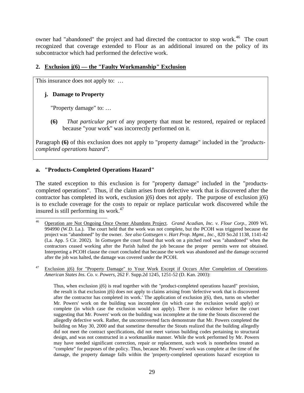owner had "abandoned" the project and had directed the contractor to stop work.<sup>46</sup> The court recognized that coverage extended to Flour as an additional insured on the policy of its subcontractor which had performed the defective work.

# **2. Exclusion j(6) — the "Faulty Workmanship" Exclusion**

This insurance does not apply to: ...

# **j. Damage to Property**

"Property damage" to: …

**(6)** *That particular part* of any property that must be restored, repaired or replaced because "your work" was incorrectly performed on it.

Paragraph **(6)** of this exclusion does not apply to "property damage" included in the *"productscompleted operations hazard"*.

# **a. "Products-Completed Operations Hazard"**

The stated exception to this exclusion is for "property damage" included in the "productscompleted operations". Thus, if the claim arises from defective work that is discovered after the contractor has completed its work, exclusion  $i(6)$  does not apply. The purpose of exclusion  $i(6)$ is to exclude coverage for the costs to repair or replace particular work discovered while the insured is still performing its work. $47$ 

Exclusion j(6) for "Property Damage" to Your Work Except if Occurs After Completion of Operations. *American States Ins. Co. v. Powers*, 262 F. Supp.2d 1245, 1251-52 (D. Kan. 2003):

Thus, when exclusion j(6) is read together with the "product-completed operations hazard" provision, the result is that exclusion j(6) does not apply to claims arising from 'defective work that is discovered after the contractor has completed its work.' The application of exclusion  $j(6)$ , then, turns on whether Mr. Powers' work on the building was incomplete (in which case the exclusion would apply) or complete (in which case the exclusion would not apply). There is no evidence before the court suggesting that Mr. Powers' work on the building was incomplete at the time the Stouts discovered the allegedly defective work. Rather, the uncontroverted facts demonstrate that Mr. Powers completed the building on May 30, 2000 and that sometime thereafter the Stouts realized that the building allegedly did not meet the contract specifications, did not meet various building codes pertaining to structural design, and was not constructed in a workmanlike manner. While the work performed by Mr. Powers may have needed significant correction, repair or replacement, such work is nonetheless treated as "complete" for purposes of the policy. Thus, because Mr. Powers' work was complete at the time of the damage, the property damage falls within the 'property-completed operations hazard' exception to

 $46\,$ 46 Operation are Not Ongoing Once Owner Abandons Project. *Grand Acadian, Inc. v. Flour Corp.*, 2009 WL 994990 (W.D. La.). The court held that the work was not complete, but the PCOH was triggered because the project was "abandoned" by the owner. *See also Gottsegen v. Hart Prop. Mgmt., Inc*.¸ 820 So.2d 1138, 1141-42 (La. App. 5 Cir. 2002). In *Gottsegen* the court found that work on a pitched roof was "abandoned" when the contractors ceased working after the Parish halted the job because the proper permits were not obtained. Interpreting a PCOH clause the court concluded that because the work was abandoned and the damage occurred after the job was halted, the damage was covered under the PCOH.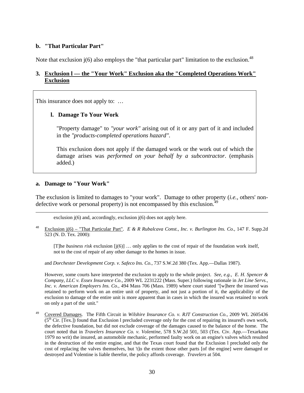#### **b. "That Particular Part"**

Note that exclusion  $j(6)$  also employs the "that particular part" limitation to the exclusion.<sup>48</sup>

#### **3. Exclusion l — the "Your Work" Exclusion aka the "Completed Operations Work" Exclusion**

This insurance does not apply to: ...

#### **l. Damage To Your Work**

"Property damage" to *"your work"* arising out of it or any part of it and included in the *"products-completed operations hazard"*.

This exclusion does not apply if the damaged work or the work out of which the damage arises was *performed on your behalf by a subcontractor*. (emphasis added.)

#### **a. Damage to "Your Work"**

 $\overline{\phantom{a}}$ 

The exclusion is limited to damages to "your work". Damage to other property (*i.e.,* others' nondefective work or personal property) is not encompassed by this exclusion.<sup>4</sup>

exclusion  $j(6)$  and, accordingly, exclusion  $j(6)$  does not apply here.

48 Exclusion j(6) – "That Particular Part". *E & R Rubalcava Const., Inc. v. Burlington Ins. Co.,* 147 F. Supp.2d 523 (N. D. Tex. 2000):

[T]he *business risk* exclusion [j(6)] … only applies to the cost of repair of the foundation work itself, not to the cost of repair of any other damage to the homes in issue.

and *Dorchester Development Corp. v. Safeco Ins. Co.*, 737 S.W.2d 380 (Tex. App.—Dallas 1987).

However, some courts have interpreted the exclusion to apply to the whole project. *See, e.g., E. H. Spencer & Company, LLC v. Essex Insurance Co.*, 2009 WL 2231222 (Mass. Super.) following rationale in *Jet Line Servs., Inc. v. American Employers Ins. Co.*, 494 Mass 706 (Mass. 1989) where court stated "[w]here the insured was retained to perform work on an entire unit of property, and not just a portion of it, the applicability of the exclusion to damage of the entire unit is more apparent than in cases in which the insured was retained to work on only a part of the unit."

49 Covered Damages. The Fifth Circuit in *Wilshire Insurance Co. v. RJT Construction Co.*, 2009 WL 2605436  $(5<sup>th</sup> Cir. [Text.])$  found that Exclusion 1 precluded coverage only for the cost of repairing its insured's own work, the defective foundation, but did not exclude coverage of the damages caused to the balance of the home. The court noted that in *Travelers Insurance Co. v. Volentine*, 578 S.W.2d 501, 503 (Tex. Civ. App.—Texarkana 1979 no writ) the insured, an automobile mechanic, performed faulty work on an engine's valves which resulted in the destruction of the entire engine, and that the Texas court found that the Exclusion l precluded only the cost of replacing the valves themselves, but 't]o the extent those other parts [of the engine] were damaged or destroyed and Volentine is liable therefor, the policy affords coverage. *Travelers* at 504.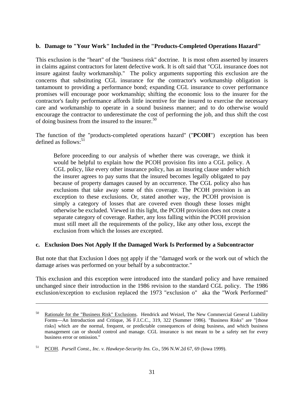#### **b. Damage to "Your Work" Included in the "Products-Completed Operations Hazard"**

This exclusion is the "heart" of the "business risk" doctrine. It is most often asserted by insurers in claims against contractors for latent defective work. It is oft said that "CGL insurance does not insure against faulty workmanship." The policy arguments supporting this exclusion are the concerns that substituting CGL insurance for the contractor's workmanship obligation is tantamount to providing a performance bond; expanding CGL insurance to cover performance promises will encourage poor workmanship; shifting the economic loss to the insurer for the contractor's faulty performance affords little incentive for the insured to exercise the necessary care and workmanship to operate in a sound business manner; and to do otherwise would encourage the contractor to underestimate the cost of performing the job, and thus shift the cost of doing business from the insured to the insurer. $50$ 

The function of the "products-completed operations hazard" ("**PCOH**") exception has been defined as follows: $51$ 

Before proceeding to our analysis of whether there was coverage, we think it would be helpful to explain how the PCOH provision fits into a CGL policy. A CGL policy, like every other insurance policy, has an insuring clause under which the insurer agrees to pay sums that the insured becomes legally obligated to pay because of property damages caused by an occurrence. The CGL policy also has exclusions that take away some of this coverage. The PCOH provision is an exception to these exclusions. Or, stated another way, the PCOH provision is simply a category of losses that are covered even though these losses might otherwise be excluded. Viewed in this light, the PCOH provision does not create a separate category of coverage. Rather, any loss falling within the PCOH provision must still meet all the requirements of the policy, like any other loss, except the exclusion from which the losses are excepted.

#### **c. Exclusion Does Not Apply If the Damaged Work Is Performed by a Subcontractor**

But note that that Exclusion l does not apply if the "damaged work or the work out of which the damage arises was performed on your behalf by a subcontractor."

This exclusion and this exception were introduced into the standard policy and have remained unchanged since their introduction in the 1986 revision to the standard CGL policy. The 1986 exclusion/exception to exclusion replaced the 1973 "exclusion o" aka the "Work Performed"

l

Rationale for the "Business Risk" Exclusions. Hendrick and Weizel, The New Commercial General Liability Forms—An Introduction and Critique, 36 F.I.C.C., 319, 322 (Summer 1986). "Business Risks" are "[those risks] which are the normal, frequent, or predictable consequences of doing business, and which business management can or should control and manage. CGL insurance is not meant to be a safety net for every business error or omission."

<sup>51</sup> PCOH. *Pursell Const., Inc. v. Hawkeye-Security Ins. Co.*, 596 N.W.2d 67, 69 (Iowa 1999).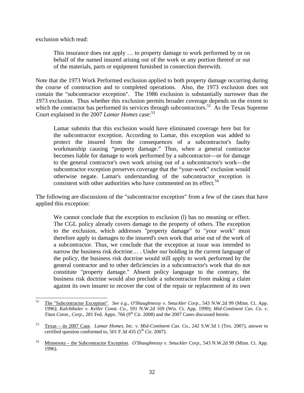exclusion which read:

This insurance does not apply … to property damage to work performed by or on behalf of the named insured arising out of the work or any portion thereof or out of the materials, parts or equipment furnished in connection therewith.

Note that the 1973 Work Performed exclusion applied to both property damage occurring during the course of construction and to completed operations. Also, the 1973 exclusion does not contain the "subcontractor exception". The 1986 exclusion is substantially narrower than the 1973 exclusion. Thus whether this exclusion permits broader coverage depends on the extent to which the contractor has performed its services through subcontractors.<sup>52</sup> As the Texas Supreme Court explained in the 2007 *Lamar Homes* case:<sup>53</sup>

Lamar submits that this exclusion would have eliminated coverage here but for the subcontractor exception. According to Lamar, this exception was added to protect the insured from the consequences of a subcontractor's faulty workmanship causing "property damage." Thus, when a general contractor becomes liable for damage to work performed by a subcontractor—or for damage to the general contractor's own work arising out of a subcontractor's work—the subcontractor exception preserves coverage that the "your-work" exclusion would otherwise negate. Lamar's understanding of the subcontractor exception is consistent with other authorities who have commented on its effect.<sup>54</sup>

The following are discussions of the "subcontractor exception" from a few of the cases that have applied this exception:

We cannot conclude that the exception to exclusion (1) has no meaning or effect. The CGL policy already covers damage to the property of others. The exception to the exclusion, which addresses "property damage" to "your work" must therefore apply to damages to the insured's own work that arise out of the work of a subcontractor. Thus, we conclude that the exception at issue was intended to narrow the business risk doctrine… . Under our holding in the current language of the policy, the business risk doctrine would still apply to work performed by the general contractor and to other deficiencies in a subcontractor's work that do not constitute "property damage." Absent policy language to the contrary, the business risk doctrine would also preclude a subcontractor from making a claim against its own insurer to recover the cost of the repair or replacement of its own

<sup>52</sup> 52 The "Subcontractor Exception". *See e.g., O'Shaughnessy v. Smuckler Corp.*, 543 N.W.2d 99 (Minn. Ct. App. 1996); *Kalchthaler v. Keller Const. Co.,* 591 N.W.2d 169 (Wis. Ct. App. 1999); *Mid-Continent Cas. Co. v. Titan Const., Corp.,* 281 Fed. Appx. 766 ( $9<sup>th</sup> Cir.$  2008) and the 2007 Cases discussed herein.

<sup>53</sup> Texas – its 2007 Case. *Lamar Homes, Inc. v. Mid-Continent Cas. Co.*, 242 S.W.3d 1 (Tex. 2007), answer to certified question conformed to, 501 F.3d 435 ( $5<sup>th</sup>$  Cir. 2007).

<sup>54</sup> Minnesota – the Subcontractor Exception. *O'Shaughnessy v. Smuckler Corp.*, 543 N.W.2d 99 (Minn. Ct. App. 1996).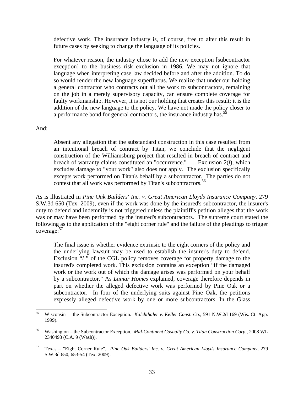defective work. The insurance industry is, of course, free to alter this result in future cases by seeking to change the language of its policies.

For whatever reason, the industry chose to add the new exception [subcontractor exception] to the business risk exclusion in 1986. We may not ignore that language when interpreting case law decided before and after the addition. To do so would render the new language superfluous. We realize that under our holding a general contractor who contracts out all the work to subcontractors, remaining on the job in a merely supervisory capacity, can ensure complete coverage for faulty workmanship. However, it is not our holding that creates this result; it is the addition of the new language to the policy. We have not made the policy closer to a performance bond for general contractors, the insurance industry has.<sup>55</sup>

#### And:

Absent any allegation that the substandard construction in this case resulted from an intentional breach of contract by Titan, we conclude that the negligent construction of the Williamsburg project that resulted in breach of contract and breach of warranty claims constituted an "occurrence." … Exclusion 2(*l*), which excludes damage to "your work" also does not apply. The exclusion specifically excepts work performed on Titan's behalf by a subcontractor. The parties do not contest that all work was performed by Titan's subcontractors.<sup>56</sup>

As is illustrated in *Pine Oak Builders' Inc. v. Great American Lloyds Insurance Company*, 279 S.W.3d 650 (Tex. 2009), even if the work was done by the insured's subcontractor, the insurer's duty to defend and indemnify is not triggered unless the plaintiff's petition alleges that the work was or may have been performed by the insured's subcontractors. The supreme court stated the following as to the application of the "eight corner rule" and the failure of the pleadings to trigger coverage:57

The final issue is whether evidence extrinsic to the eight corners of the policy and the underlying lawsuit may be used to establish the insurer's duty to defend. Exclusion "*l*" of the CGL policy removes coverage for property damage to the insured's completed work. This exclusion contains an exception "if the damaged work or the work out of which the damage arises was performed on your behalf by a subcontractor." As *Lamar Homes* explained, coverage therefore depends in part on whether the alleged defective work was performed by Pine Oak or a subcontractor. In four of the underlying suits against Pine Oak, the petitions expressly alleged defective work by one or more subcontractors. In the Glass

<sup>55</sup> 55 Wisconsin – the Subcontractor Exception. *Kalchthaler v. Keller Const. Co.,* 591 N.W.2d 169 (Wis. Ct. App. 1999).

<sup>56</sup> Washington – the Subcontractor Exception. *Mid-Continent Casualty Co. v. Titan Construction Corp.*, 2008 WL 2340493 (C.A. 9 (Wash)).

<sup>57</sup> Texas – "Eight Corner Rule". *Pine Oak Builders' Inc. v. Great American Lloyds Insurance Company*, 279 S.W.3d 650, 653-54 (Tex. 2009).